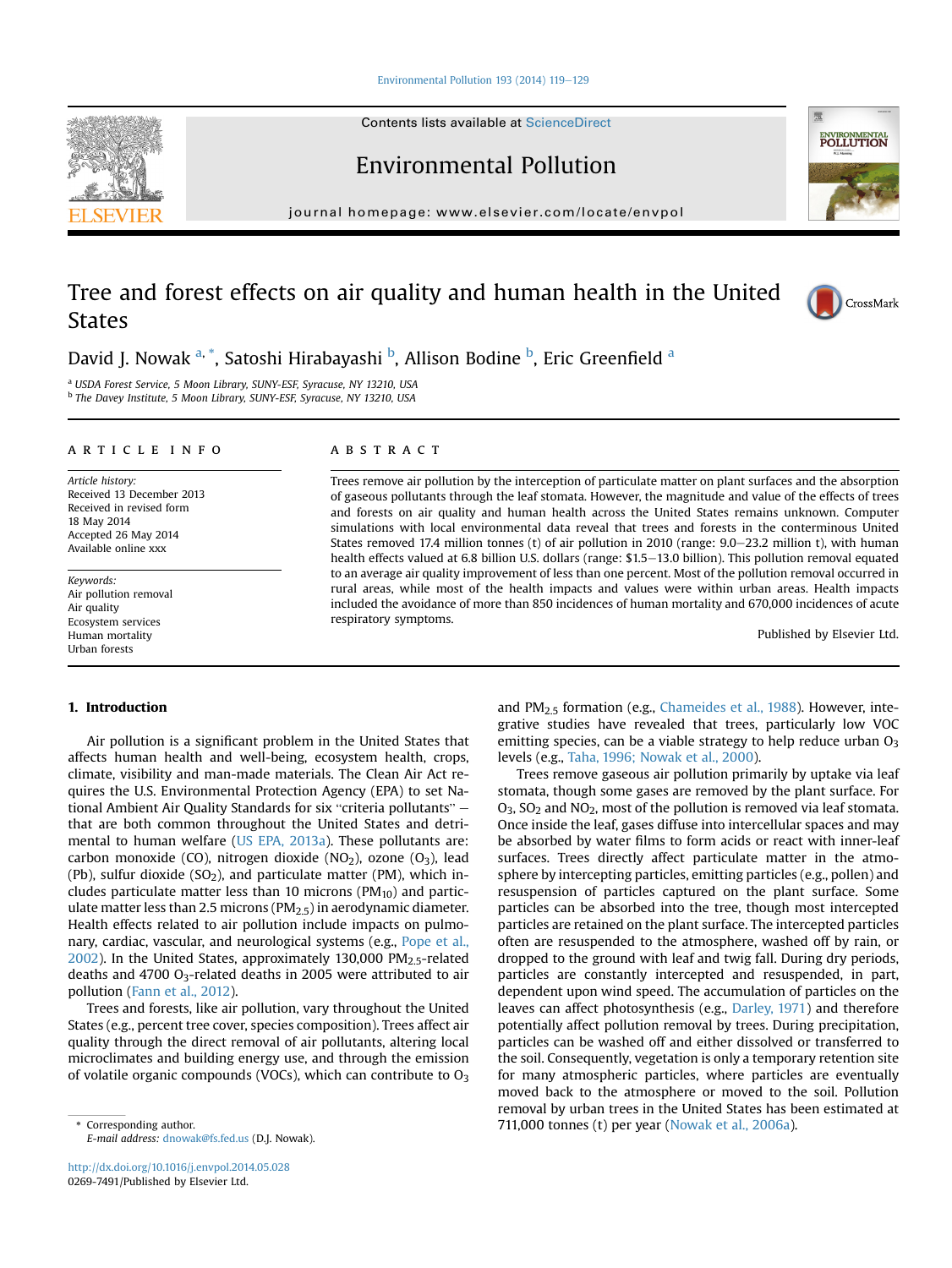[Environmental Pollution 193 \(2014\) 119](http://dx.doi.org/10.1016/j.envpol.2014.05.028)-[129](http://dx.doi.org/10.1016/j.envpol.2014.05.028)

Contents lists available at ScienceDirect

Environmental Pollution

journal homepage: [www.elsevier.com/locate/envpol](http://www.elsevier.com/locate/envpol)

# Tree and forest effects on air quality and human health in the United States



<sup>a</sup> USDA Forest Service, 5 Moon Library, SUNY-ESF, Syracuse, NY 13210, USA <sup>b</sup> The Davey Institute, 5 Moon Library, SUNY-ESF, Syracuse, NY 13210, USA

#### article info

Article history: Received 13 December 2013 Received in revised form 18 May 2014 Accepted 26 May 2014 Available online xxx

Keywords: Air pollution removal Air quality Ecosystem services Human mortality Urban forests

# 1. Introduction

Air pollution is a significant problem in the United States that affects human health and well-being, ecosystem health, crops, climate, visibility and man-made materials. The Clean Air Act reennace, visibility and man-made materials. The clean All Act re-<br>quires the U.S. Environmental Protection Agency (EPA) to set Na-<br>tional Ambient Air Quality Standards for six "criteria pollutants" – that are both common throughout the United States and detri-mental to human welfare [\(US EPA, 2013a\)](#page-9-0). These pollutants are: carbon monoxide (CO), nitrogen dioxide (NO<sub>2</sub>), ozone (O<sub>3</sub>), lead (Pb), sulfur dioxide (SO<sub>2</sub>), and particulate matter (PM), which includes particulate matter less than 10 microns ( $PM_{10}$ ) and particulate matter less than 2.5 microns ( $PM<sub>2.5</sub>$ ) in aerodynamic diameter. Health effects related to air pollution include impacts on pulmonary, cardiac, vascular, and neurological systems (e.g., [Pope et al.,](#page-9-0)  $2002$ ). In the United States, approximately 130,000 PM $_{2.5}$ -related deaths and 4700 O3-related deaths in 2005 were attributed to air pollution [\(Fann et al., 2012](#page-8-0)).

Trees and forests, like air pollution, vary throughout the United States (e.g., percent tree cover, species composition). Trees affect air quality through the direct removal of air pollutants, altering local microclimates and building energy use, and through the emission of volatile organic compounds (VOCs), which can contribute to  $O_3$ 

# **ABSTRACT**

Trees remove air pollution by the interception of particulate matter on plant surfaces and the absorption of gaseous pollutants through the leaf stomata. However, the magnitude and value of the effects of trees and forests on air quality and human health across the United States remains unknown. Computer simulations with local environmental data reveal that trees and forests in the conterminous United States removed 17.4 million tonnes (t) of air pollution in 2010 (range:  $9.0-23.2$  million t), with human health effects valued at 6.8 billion U.S. dollars (range: \$1.5–13.0 billion). This pollution removal equated to an average air quality improvement of less than one percent. Most of the pollution removal occurred in rural areas, while most of the health impacts and values were within urban areas. Health impacts included the avoidance of more than 850 incidences of human mortality and 670,000 incidences of acute respiratory symptoms.

Published by Elsevier Ltd.

and PM<sub>2.5</sub> formation (e.g., [Chameides et al., 1988](#page-8-0)). However, integrative studies have revealed that trees, particularly low VOC emitting species, can be a viable strategy to help reduce urban  $O<sub>3</sub>$ levels (e.g., [Taha, 1996; Nowak et al., 2000\)](#page-9-0).

Trees remove gaseous air pollution primarily by uptake via leaf stomata, though some gases are removed by the plant surface. For O<sub>3</sub>, SO<sub>2</sub> and NO<sub>2</sub>, most of the pollution is removed via leaf stomata. Once inside the leaf, gases diffuse into intercellular spaces and may be absorbed by water films to form acids or react with inner-leaf surfaces. Trees directly affect particulate matter in the atmosphere by intercepting particles, emitting particles (e.g., pollen) and resuspension of particles captured on the plant surface. Some particles can be absorbed into the tree, though most intercepted particles are retained on the plant surface. The intercepted particles often are resuspended to the atmosphere, washed off by rain, or dropped to the ground with leaf and twig fall. During dry periods, particles are constantly intercepted and resuspended, in part, dependent upon wind speed. The accumulation of particles on the leaves can affect photosynthesis (e.g., [Darley, 1971\)](#page-8-0) and therefore potentially affect pollution removal by trees. During precipitation, particles can be washed off and either dissolved or transferred to the soil. Consequently, vegetation is only a temporary retention site for many atmospheric particles, where particles are eventually moved back to the atmosphere or moved to the soil. Pollution removal by urban trees in the United States has been estimated at \* Corresponding author. 711,000 tonnes (t) per year [\(Nowak et al., 2006a](#page-9-0)).







E-mail address: [dnowak@fs.fed.us](mailto:dnowak@fs.fed.us) (D.J. Nowak).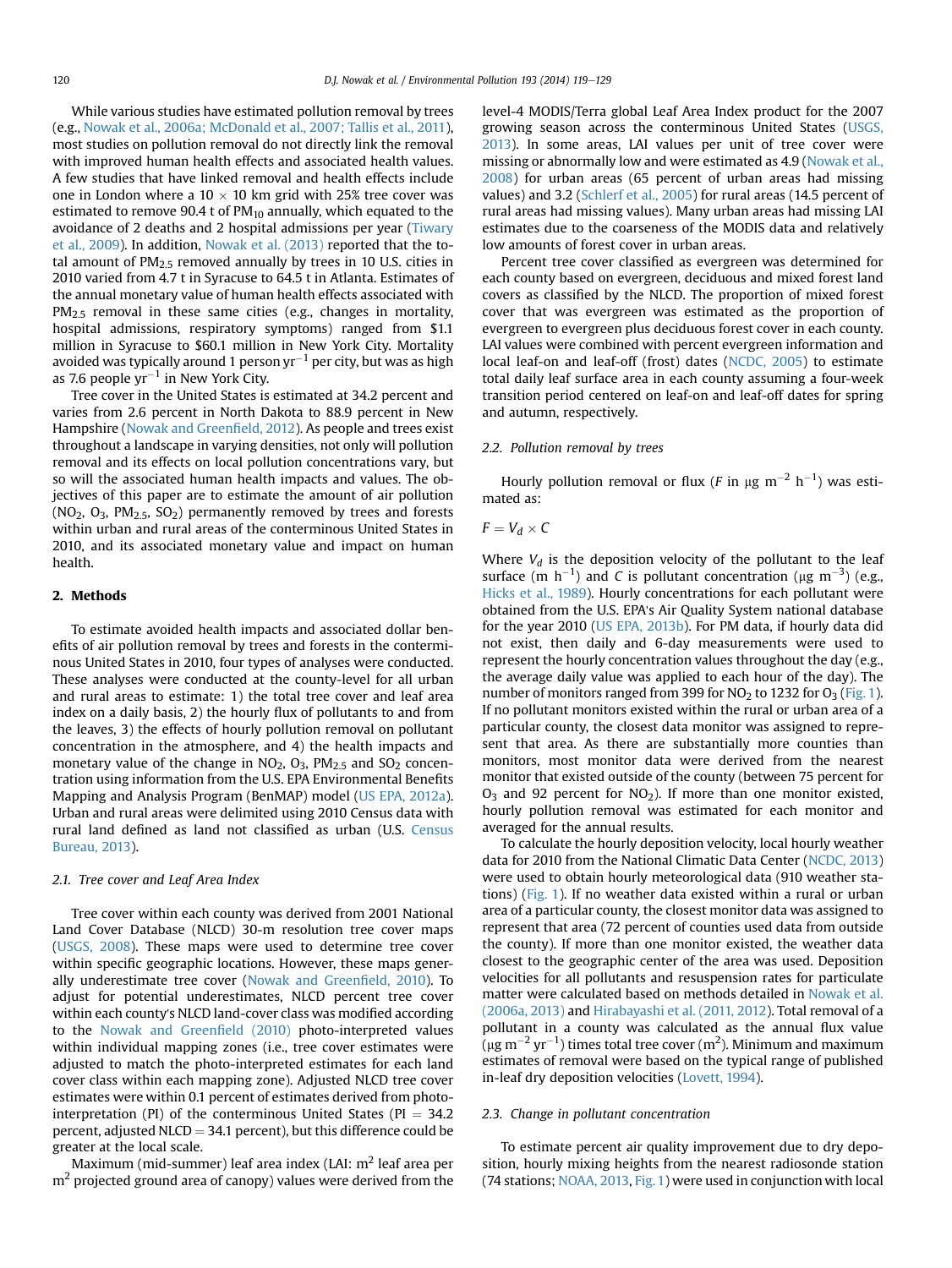While various studies have estimated pollution removal by trees (e.g., [Nowak et al., 2006a; McDonald et al., 2007; Tallis et al., 2011\)](#page-9-0), most studies on pollution removal do not directly link the removal with improved human health effects and associated health values. A few studies that have linked removal and health effects include one in London where a  $10 \times 10$  km grid with 25% tree cover was estimated to remove 90.4 t of  $PM_{10}$  annually, which equated to the avoidance of 2 deaths and 2 hospital admissions per year ([Tiwary](#page-9-0) [et al., 2009\)](#page-9-0). In addition, [Nowak et al. \(2013\)](#page-9-0) reported that the total amount of  $PM<sub>2.5</sub>$  removed annually by trees in 10 U.S. cities in 2010 varied from 4.7 t in Syracuse to 64.5 t in Atlanta. Estimates of the annual monetary value of human health effects associated with  $PM_{2.5}$  removal in these same cities (e.g., changes in mortality, hospital admissions, respiratory symptoms) ranged from \$1.1 million in Syracuse to \$60.1 million in New York City. Mortality avoided was typically around 1 person  $yr^{-1}$  per city, but was as high as 7.6 people  $yr^{-1}$  in New York City.

Tree cover in the United States is estimated at 34.2 percent and varies from 2.6 percent in North Dakota to 88.9 percent in New Hampshire [\(Nowak and Green](#page-9-0)field, 2012). As people and trees exist throughout a landscape in varying densities, not only will pollution removal and its effects on local pollution concentrations vary, but so will the associated human health impacts and values. The objectives of this paper are to estimate the amount of air pollution  $(NO<sub>2</sub>, O<sub>3</sub>, PM<sub>2.5</sub>, SO<sub>2</sub>)$  permanently removed by trees and forests within urban and rural areas of the conterminous United States in 2010, and its associated monetary value and impact on human health.

#### 2. Methods

To estimate avoided health impacts and associated dollar benefits of air pollution removal by trees and forests in the conterminous United States in 2010, four types of analyses were conducted. These analyses were conducted at the county-level for all urban and rural areas to estimate: 1) the total tree cover and leaf area index on a daily basis, 2) the hourly flux of pollutants to and from the leaves, 3) the effects of hourly pollution removal on pollutant concentration in the atmosphere, and 4) the health impacts and monetary value of the change in  $NO<sub>2</sub>$ ,  $O<sub>3</sub>$ ,  $PM<sub>2.5</sub>$  and  $SO<sub>2</sub>$  concentration using information from the U.S. EPA Environmental Benefits Mapping and Analysis Program (BenMAP) model ([US EPA, 2012a\)](#page-9-0). Urban and rural areas were delimited using 2010 Census data with rural land defined as land not classified as urban (U.S. [Census](#page-9-0) [Bureau, 2013\)](#page-9-0).

## 2.1. Tree cover and Leaf Area Index

Tree cover within each county was derived from 2001 National Land Cover Database (NLCD) 30-m resolution tree cover maps ([USGS, 2008\)](#page-10-0). These maps were used to determine tree cover within specific geographic locations. However, these maps generally underestimate tree cover ([Nowak and Green](#page-9-0)field, 2010). To adjust for potential underestimates, NLCD percent tree cover within each county's NLCD land-cover class was modified according to the [Nowak and Green](#page-9-0)field (2010) photo-interpreted values within individual mapping zones (i.e., tree cover estimates were adjusted to match the photo-interpreted estimates for each land cover class within each mapping zone). Adjusted NLCD tree cover estimates were within 0.1 percent of estimates derived from photointerpretation (PI) of the conterminous United States (PI =  $34.2$ ) percent, adjusted NLCD =  $34.1$  percent), but this difference could be greater at the local scale.

Maximum (mid-summer) leaf area index (LAI:  $m<sup>2</sup>$  leaf area per  $m<sup>2</sup>$  projected ground area of canopy) values were derived from the

level-4 MODIS/Terra global Leaf Area Index product for the 2007 growing season across the conterminous United States ([USGS,](#page-10-0) [2013\)](#page-10-0). In some areas, LAI values per unit of tree cover were missing or abnormally low and were estimated as 4.9 [\(Nowak et al.,](#page-9-0) [2008](#page-9-0)) for urban areas (65 percent of urban areas had missing values) and 3.2 ([Schlerf et al., 2005](#page-9-0)) for rural areas (14.5 percent of rural areas had missing values). Many urban areas had missing LAI estimates due to the coarseness of the MODIS data and relatively low amounts of forest cover in urban areas.

Percent tree cover classified as evergreen was determined for each county based on evergreen, deciduous and mixed forest land covers as classified by the NLCD. The proportion of mixed forest cover that was evergreen was estimated as the proportion of evergreen to evergreen plus deciduous forest cover in each county. LAI values were combined with percent evergreen information and local leaf-on and leaf-off (frost) dates ([NCDC, 2005](#page-9-0)) to estimate total daily leaf surface area in each county assuming a four-week transition period centered on leaf-on and leaf-off dates for spring and autumn, respectively.

# 2.2. Pollution removal by trees

Hourly pollution removal or flux (*F* in  $\mu$ g m<sup>-2</sup> h<sup>-1</sup>) was estimated as:

# $F = V_d \times C$

Where  $V_d$  is the deposition velocity of the pollutant to the leaf surface (m  $h^{-1}$ ) and C is pollutant concentration ( $\mu$ g m<sup>-3</sup>) (e.g., [Hicks et al., 1989\)](#page-9-0). Hourly concentrations for each pollutant were obtained from the U.S. EPA's Air Quality System national database for the year 2010 [\(US EPA, 2013b\)](#page-10-0). For PM data, if hourly data did not exist, then daily and 6-day measurements were used to represent the hourly concentration values throughout the day (e.g., the average daily value was applied to each hour of the day). The number of monitors ranged from 399 for  $NO<sub>2</sub>$  to 1232 for  $O<sub>3</sub>$  [\(Fig. 1\)](#page-2-0). If no pollutant monitors existed within the rural or urban area of a particular county, the closest data monitor was assigned to represent that area. As there are substantially more counties than monitors, most monitor data were derived from the nearest monitor that existed outside of the county (between 75 percent for  $O_3$  and 92 percent for NO<sub>2</sub>). If more than one monitor existed, hourly pollution removal was estimated for each monitor and averaged for the annual results.

To calculate the hourly deposition velocity, local hourly weather data for 2010 from the National Climatic Data Center ([NCDC, 2013\)](#page-9-0) were used to obtain hourly meteorological data (910 weather stations) ([Fig. 1\)](#page-2-0). If no weather data existed within a rural or urban area of a particular county, the closest monitor data was assigned to represent that area (72 percent of counties used data from outside the county). If more than one monitor existed, the weather data closest to the geographic center of the area was used. Deposition velocities for all pollutants and resuspension rates for particulate matter were calculated based on methods detailed in [Nowak et al.](#page-9-0) [\(2006a, 2013\)](#page-9-0) and [Hirabayashi et al. \(2011, 2012\)](#page-9-0). Total removal of a pollutant in a county was calculated as the annual flux value  $(\mu\mathrm{g\ m}^{-2}\ \mathrm{yr}^{-1})$  times total tree cover (m<sup>2</sup>). Minimum and maximum estimates of removal were based on the typical range of published in-leaf dry deposition velocities [\(Lovett, 1994\)](#page-9-0).

#### 2.3. Change in pollutant concentration

To estimate percent air quality improvement due to dry deposition, hourly mixing heights from the nearest radiosonde station (74 stations; [NOAA, 2013,](#page-9-0) [Fig. 1](#page-2-0)) were used in conjunction with local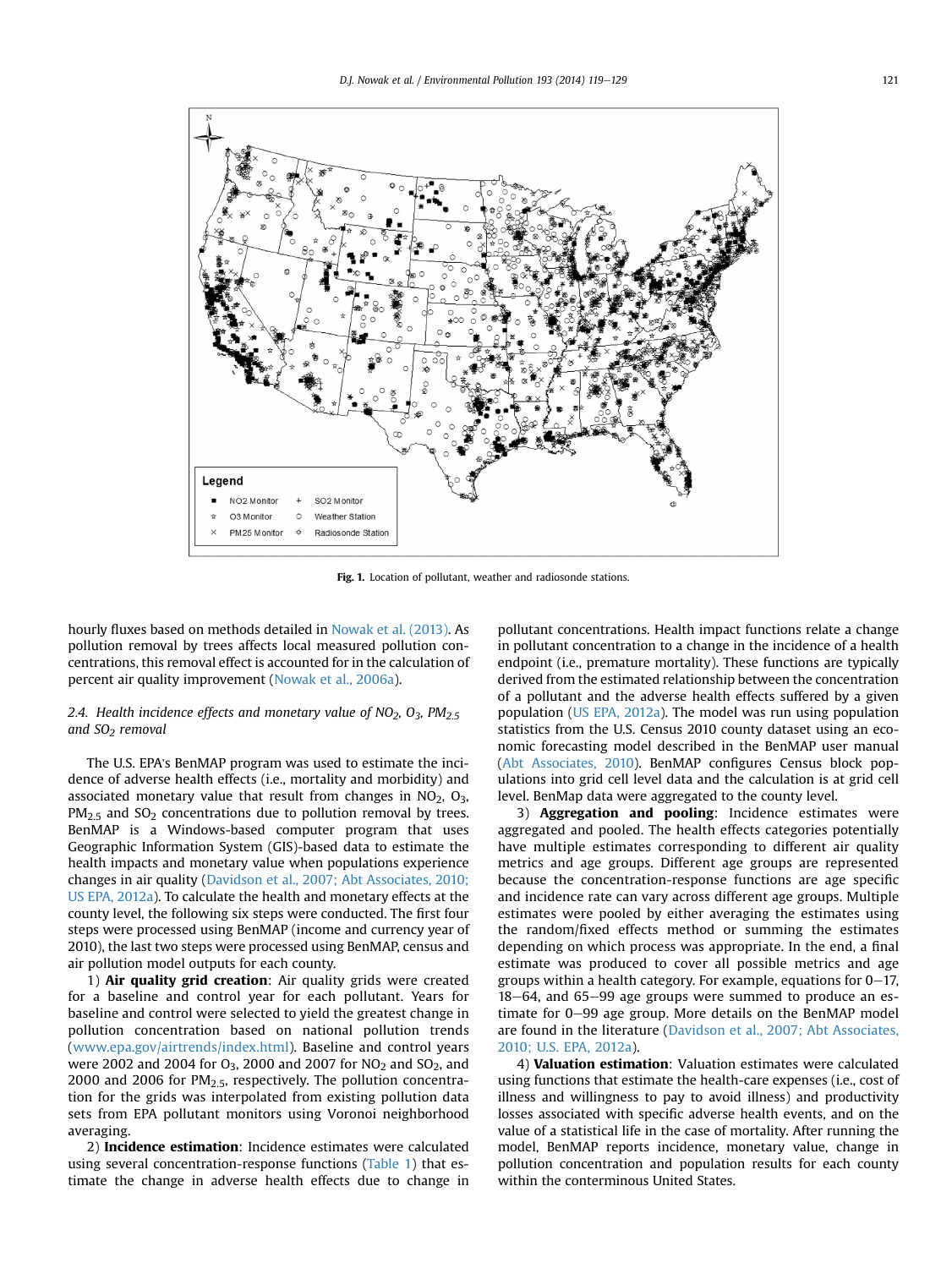<span id="page-2-0"></span>

Fig. 1. Location of pollutant, weather and radiosonde stations.

hourly fluxes based on methods detailed in [Nowak et al. \(2013\)](#page-9-0). As pollution removal by trees affects local measured pollution concentrations, this removal effect is accounted for in the calculation of percent air quality improvement ([Nowak et al., 2006a\)](#page-9-0).

# 2.4. Health incidence effects and monetary value of  $NO<sub>2</sub>$ ,  $O<sub>3</sub>$ ,  $PM<sub>2.5</sub>$ and  $SO<sub>2</sub>$  removal

The U.S. EPA's BenMAP program was used to estimate the incidence of adverse health effects (i.e., mortality and morbidity) and associated monetary value that result from changes in  $NO<sub>2</sub>$ ,  $O<sub>3</sub>$ ,  $PM<sub>2.5</sub>$  and SO<sub>2</sub> concentrations due to pollution removal by trees. BenMAP is a Windows-based computer program that uses Geographic Information System (GIS)-based data to estimate the health impacts and monetary value when populations experience changes in air quality [\(Davidson et al., 2007; Abt Associates, 2010;](#page-8-0) [US EPA, 2012a\)](#page-8-0). To calculate the health and monetary effects at the county level, the following six steps were conducted. The first four steps were processed using BenMAP (income and currency year of 2010), the last two steps were processed using BenMAP, census and air pollution model outputs for each county.

1) Air quality grid creation: Air quality grids were created for a baseline and control year for each pollutant. Years for baseline and control were selected to yield the greatest change in pollution concentration based on national pollution trends ([www.epa.gov/airtrends/index.html\)](http://www.epa.gov/airtrends/index.html). Baseline and control years were 2002 and 2004 for  $O_3$ , 2000 and 2007 for  $NO_2$  and  $SO_2$ , and 2000 and 2006 for  $PM<sub>2.5</sub>$ , respectively. The pollution concentration for the grids was interpolated from existing pollution data sets from EPA pollutant monitors using Voronoi neighborhood averaging.

2) Incidence estimation: Incidence estimates were calculated using several concentration-response functions ([Table 1\)](#page-3-0) that estimate the change in adverse health effects due to change in pollutant concentrations. Health impact functions relate a change in pollutant concentration to a change in the incidence of a health endpoint (i.e., premature mortality). These functions are typically derived from the estimated relationship between the concentration of a pollutant and the adverse health effects suffered by a given population ([US EPA, 2012a](#page-9-0)). The model was run using population statistics from the U.S. Census 2010 county dataset using an economic forecasting model described in the BenMAP user manual ([Abt Associates, 2010\)](#page-8-0). BenMAP configures Census block populations into grid cell level data and the calculation is at grid cell level. BenMap data were aggregated to the county level.

3) Aggregation and pooling: Incidence estimates were aggregated and pooled. The health effects categories potentially have multiple estimates corresponding to different air quality metrics and age groups. Different age groups are represented because the concentration-response functions are age specific and incidence rate can vary across different age groups. Multiple estimates were pooled by either averaging the estimates using the random/fixed effects method or summing the estimates depending on which process was appropriate. In the end, a final estimate was produced to cover all possible metrics and age groups within a health category. For example, equations for  $0-17$ ,  $18-64$ , and  $65-99$  age groups were summed to produce an estimate for 0–99 age group. More details on the BenMAP model are found in the literature [\(Davidson et al., 2007; Abt Associates,](#page-8-0) [2010; U.S. EPA, 2012a](#page-8-0)).

4) Valuation estimation: Valuation estimates were calculated using functions that estimate the health-care expenses (i.e., cost of illness and willingness to pay to avoid illness) and productivity losses associated with specific adverse health events, and on the value of a statistical life in the case of mortality. After running the model, BenMAP reports incidence, monetary value, change in pollution concentration and population results for each county within the conterminous United States.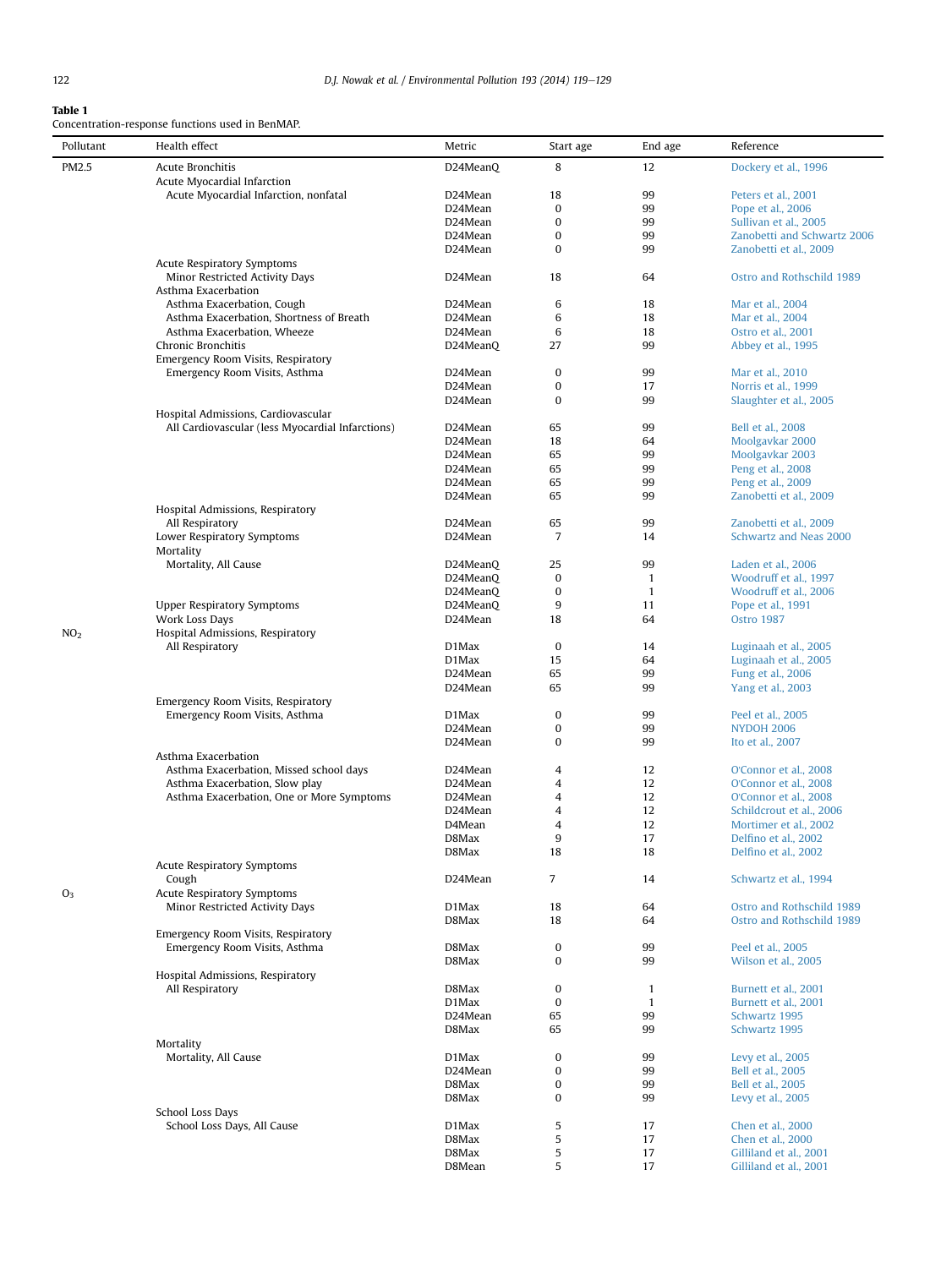# <span id="page-3-0"></span>Table 1

Concentration-response functions used in BenMAP.

| Pollutant       | Health effect                                                                              | Metric   | Start age      | End age      | Reference                   |
|-----------------|--------------------------------------------------------------------------------------------|----------|----------------|--------------|-----------------------------|
| PM2.5           | Acute Bronchitis                                                                           | D24MeanQ | 8              | 12           | Dockery et al., 1996        |
|                 | Acute Myocardial Infarction                                                                |          |                |              |                             |
|                 | Acute Myocardial Infarction, nonfatal                                                      | D24Mean  | 18             | 99           | Peters et al., 2001         |
|                 |                                                                                            | D24Mean  | 0              | 99           | Pope et al., 2006           |
|                 |                                                                                            | D24Mean  | 0              | 99           | Sullivan et al., 2005       |
|                 |                                                                                            | D24Mean  | $\bf{0}$       | 99           | Zanobetti and Schwartz 2006 |
|                 |                                                                                            | D24Mean  | 0              | 99           | Zanobetti et al., 2009      |
|                 | <b>Acute Respiratory Symptoms</b><br>Minor Restricted Activity Days<br>Asthma Exacerbation | D24Mean  | 18             | 64           | Ostro and Rothschild 1989   |
|                 | Asthma Exacerbation, Cough                                                                 | D24Mean  | 6              | 18           | Mar et al., 2004            |
|                 | Asthma Exacerbation, Shortness of Breath                                                   | D24Mean  | 6              | 18           | Mar et al., 2004            |
|                 | Asthma Exacerbation, Wheeze                                                                | D24Mean  | 6              | 18           | Ostro et al., 2001          |
|                 | Chronic Bronchitis                                                                         | D24MeanQ | 27             | 99           | Abbey et al., 1995          |
|                 | Emergency Room Visits, Respiratory                                                         |          |                |              |                             |
|                 | Emergency Room Visits, Asthma                                                              | D24Mean  | 0              | 99           | Mar et al., 2010            |
|                 |                                                                                            | D24Mean  | $\bf{0}$       | 17           | Norris et al., 1999         |
|                 |                                                                                            | D24Mean  | $\mathbf{0}$   | 99           | Slaughter et al., 2005      |
|                 | Hospital Admissions, Cardiovascular<br>All Cardiovascular (less Myocardial Infarctions)    | D24Mean  | 65             | 99           | Bell et al., 2008           |
|                 |                                                                                            | D24Mean  | 18             | 64           | Moolgavkar 2000             |
|                 |                                                                                            | D24Mean  | 65             | 99           | Moolgavkar 2003             |
|                 |                                                                                            | D24Mean  | 65             | 99           | Peng et al., 2008           |
|                 |                                                                                            | D24Mean  | 65             | 99           | Peng et al., 2009           |
|                 |                                                                                            | D24Mean  | 65             | 99           | Zanobetti et al., 2009      |
|                 | Hospital Admissions, Respiratory                                                           |          |                |              |                             |
|                 | All Respiratory                                                                            | D24Mean  | 65             | 99           | Zanobetti et al., 2009      |
|                 | Lower Respiratory Symptoms                                                                 | D24Mean  | $\overline{7}$ | 14           | Schwartz and Neas 2000      |
|                 | Mortality<br>Mortality, All Cause                                                          | D24MeanQ | 25             | 99           | Laden et al., 2006          |
|                 |                                                                                            | D24MeanQ | 0              | $\mathbf{1}$ | Woodruff et al., 1997       |
|                 |                                                                                            | D24MeanQ | 0              | $\mathbf{1}$ | Woodruff et al., 2006       |
|                 | <b>Upper Respiratory Symptoms</b>                                                          | D24MeanQ | 9              | 11           | Pope et al., 1991           |
|                 | Work Loss Days                                                                             | D24Mean  | 18             | 64           | <b>Ostro 1987</b>           |
| NO <sub>2</sub> | Hospital Admissions, Respiratory                                                           |          |                |              |                             |
|                 | All Respiratory                                                                            | D1Max    | 0              | 14           | Luginaah et al., 2005       |
|                 |                                                                                            | $D1$ Max | 15             | 64           | Luginaah et al., 2005       |
|                 |                                                                                            | D24Mean  | 65             | 99           | Fung et al., 2006           |
|                 |                                                                                            | D24Mean  | 65             | 99           | Yang et al., 2003           |
|                 | Emergency Room Visits, Respiratory                                                         |          |                |              |                             |
|                 | Emergency Room Visits, Asthma                                                              | D1Max    | $\bf{0}$       | 99           | Peel et al., 2005           |
|                 |                                                                                            | D24Mean  | 0              | 99           | <b>NYDOH 2006</b>           |
|                 |                                                                                            | D24Mean  | $\mathbf{0}$   | 99           | Ito et al., 2007            |
|                 | Asthma Exacerbation                                                                        |          |                |              |                             |
|                 | Asthma Exacerbation, Missed school days                                                    | D24Mean  | 4              | 12           | O'Connor et al., 2008       |
|                 | Asthma Exacerbation, Slow play                                                             | D24Mean  | 4              | 12           | O'Connor et al., 2008       |
|                 | Asthma Exacerbation, One or More Symptoms                                                  | D24Mean  | 4              | 12           | O'Connor et al., 2008       |
|                 |                                                                                            | D24Mean  | 4              | 12           | Schildcrout et al., 2006    |
|                 |                                                                                            | D4Mean   | 4              | 12           | Mortimer et al., 2002       |
|                 |                                                                                            | D8Max    | 9              | 17           | Delfino et al., 2002        |
|                 | <b>Acute Respiratory Symptoms</b>                                                          | D8Max    | 18             | 18           | Delfino et al., 2002        |
|                 | Cough                                                                                      | D24Mean  | 7              | 14           | Schwartz et al., 1994       |
| O <sub>3</sub>  | <b>Acute Respiratory Symptoms</b>                                                          |          |                |              |                             |
|                 | Minor Restricted Activity Days                                                             | D1Max    | 18             | 64           | Ostro and Rothschild 1989   |
|                 |                                                                                            | D8Max    | 18             | 64           | Ostro and Rothschild 1989   |
|                 | Emergency Room Visits, Respiratory                                                         |          |                |              |                             |
|                 | Emergency Room Visits, Asthma                                                              | D8Max    | 0              | 99           | Peel et al., 2005           |
|                 |                                                                                            | D8Max    | 0              | 99           | Wilson et al., 2005         |
|                 | Hospital Admissions, Respiratory                                                           |          |                |              |                             |
|                 | All Respiratory                                                                            | D8Max    | 0              | $\mathbf{1}$ | Burnett et al., 2001        |
|                 |                                                                                            | D1Max    | $\bf{0}$       | $\mathbf{1}$ | Burnett et al., 2001        |
|                 |                                                                                            | D24Mean  | 65             | 99           | Schwartz 1995               |
|                 | Mortality                                                                                  | D8Max    | 65             | 99           | Schwartz 1995               |
|                 | Mortality, All Cause                                                                       | D1Max    | 0              | 99           | Levy et al., 2005           |
|                 |                                                                                            | D24Mean  | 0              | 99           | Bell et al., 2005           |
|                 |                                                                                            | D8Max    | 0              | 99           | Bell et al., 2005           |
|                 |                                                                                            | D8Max    | $\mathbf{0}$   | 99           | Levy et al., 2005           |
|                 | School Loss Days                                                                           |          |                |              |                             |
|                 | School Loss Days, All Cause                                                                | D1Max    | 5              | 17           | Chen et al., 2000           |
|                 |                                                                                            | D8Max    | 5              | 17           | Chen et al., 2000           |
|                 |                                                                                            | D8Max    | 5              | 17           | Gilliland et al., 2001      |
|                 |                                                                                            | D8Mean   | 5              | 17           | Gilliland et al., 2001      |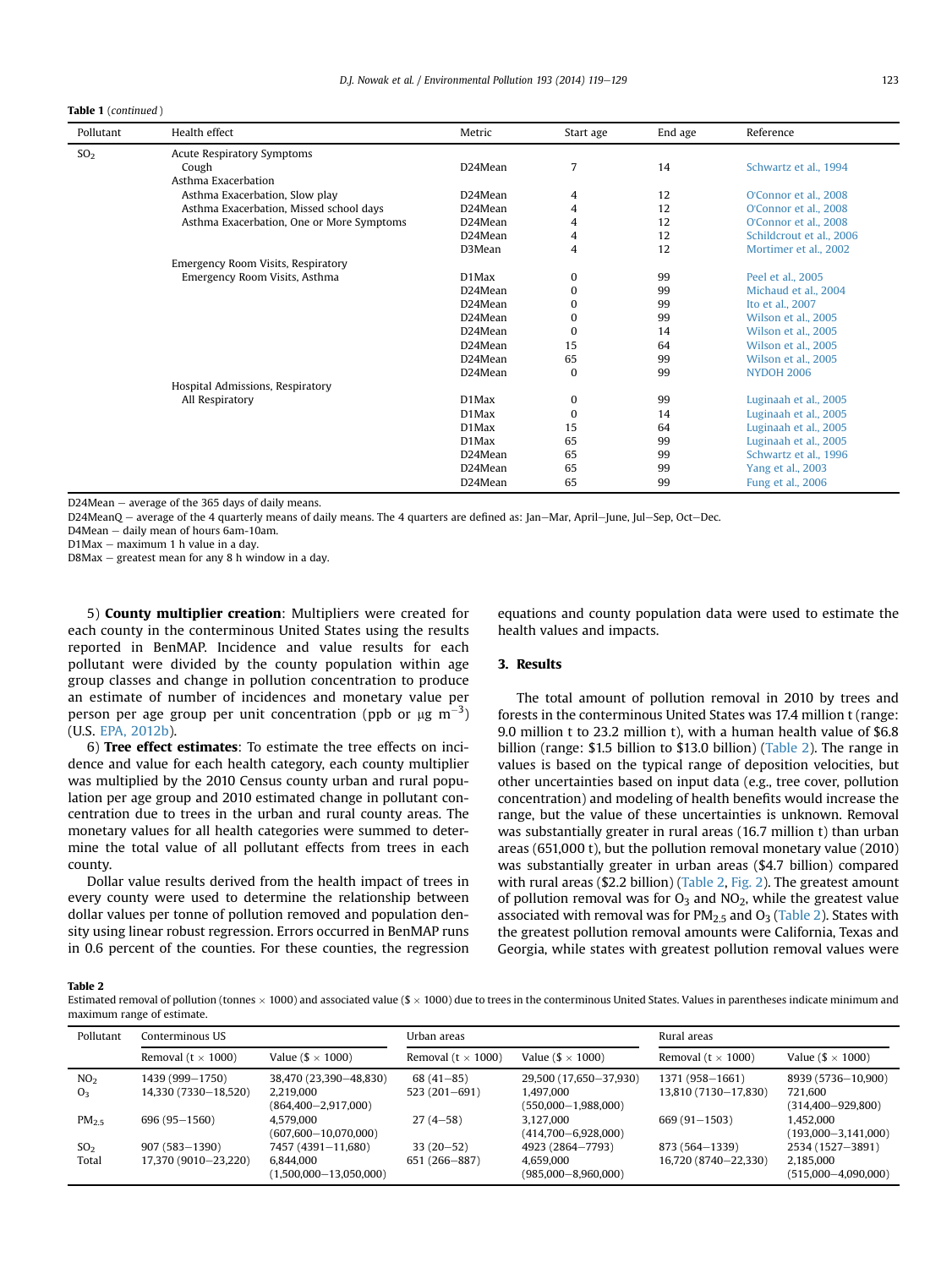Table 1 (continued )

| Pollutant       | Health effect                             | Metric               | Start age | End age | Reference                |
|-----------------|-------------------------------------------|----------------------|-----------|---------|--------------------------|
| SO <sub>2</sub> | Acute Respiratory Symptoms                |                      |           |         |                          |
|                 | Cough                                     | D24Mean              | 7         | 14      | Schwartz et al., 1994    |
|                 | Asthma Exacerbation                       |                      |           |         |                          |
|                 | Asthma Exacerbation, Slow play            | D24Mean              | 4         | 12      | O'Connor et al., 2008    |
|                 | Asthma Exacerbation, Missed school days   | D <sub>24</sub> Mean | 4         | 12      | O'Connor et al., 2008    |
|                 | Asthma Exacerbation, One or More Symptoms | D24Mean              | 4         | 12      | O'Connor et al., 2008    |
|                 |                                           | D <sub>24</sub> Mean | 4         | 12      | Schildcrout et al., 2006 |
|                 |                                           | D3Mean               | 4         | 12      | Mortimer et al., 2002    |
|                 | Emergency Room Visits, Respiratory        |                      |           |         |                          |
|                 | Emergency Room Visits, Asthma             | D1Max                | 0         | 99      | Peel et al., 2005        |
|                 |                                           | D <sub>24</sub> Mean | $\bf{0}$  | 99      | Michaud et al., 2004     |
|                 |                                           | D <sub>24</sub> Mean | 0         | 99      | Ito et al., 2007         |
|                 |                                           | D <sub>24</sub> Mean | 0         | 99      | Wilson et al., 2005      |
|                 |                                           | D <sub>24</sub> Mean | $\bf{0}$  | 14      | Wilson et al., 2005      |
|                 |                                           | D <sub>24</sub> Mean | 15        | 64      | Wilson et al., 2005      |
|                 |                                           | D24Mean              | 65        | 99      | Wilson et al., 2005      |
|                 |                                           | D24Mean              | $\bf{0}$  | 99      | <b>NYDOH 2006</b>        |
|                 | Hospital Admissions, Respiratory          |                      |           |         |                          |
|                 | All Respiratory                           | D1Max                | $\bf{0}$  | 99      | Luginaah et al., 2005    |
|                 |                                           | D1Max                | $\Omega$  | 14      | Luginaah et al., 2005    |
|                 |                                           | D1Max                | 15        | 64      | Luginaah et al., 2005    |
|                 |                                           | D1Max                | 65        | 99      | Luginaah et al., 2005    |
|                 |                                           | D24Mean              | 65        | 99      | Schwartz et al., 1996    |
|                 |                                           | D24Mean              | 65        | 99      | Yang et al., 2003        |
|                 |                                           | D24Mean              | 65        | 99      | Fung et al., 2006        |

 $D24$ Mean  $-$  average of the 365 days of daily means.

D24MeanO – average of the 4 quarterly means of daily means. The 4 quarters are defined as: Jan–Mar, April–June, Jul–Sep, Oct–Dec.

D4Mean - daily mean of hours 6am-10am.

 $D1$ Max  $-$  maximum 1 h value in a day.

 $D8$ Max  $-$  greatest mean for any 8 h window in a day.

5) County multiplier creation: Multipliers were created for each county in the conterminous United States using the results reported in BenMAP. Incidence and value results for each pollutant were divided by the county population within age group classes and change in pollution concentration to produce an estimate of number of incidences and monetary value per person per age group per unit concentration (ppb or  $\mu$ g m $^{-3}$ ) (U.S. [EPA, 2012b\)](#page-9-0).

6) Tree effect estimates: To estimate the tree effects on incidence and value for each health category, each county multiplier was multiplied by the 2010 Census county urban and rural population per age group and 2010 estimated change in pollutant concentration due to trees in the urban and rural county areas. The monetary values for all health categories were summed to determine the total value of all pollutant effects from trees in each county.

Dollar value results derived from the health impact of trees in every county were used to determine the relationship between dollar values per tonne of pollution removed and population density using linear robust regression. Errors occurred in BenMAP runs in 0.6 percent of the counties. For these counties, the regression equations and county population data were used to estimate the health values and impacts.

# 3. Results

The total amount of pollution removal in 2010 by trees and forests in the conterminous United States was 17.4 million t (range: 9.0 million t to 23.2 million t), with a human health value of \$6.8 billion (range: \$1.5 billion to \$13.0 billion) (Table 2). The range in values is based on the typical range of deposition velocities, but other uncertainties based on input data (e.g., tree cover, pollution concentration) and modeling of health benefits would increase the range, but the value of these uncertainties is unknown. Removal was substantially greater in rural areas (16.7 million t) than urban areas (651,000 t), but the pollution removal monetary value (2010) was substantially greater in urban areas (\$4.7 billion) compared with rural areas (\$2.2 billion) (Table 2, [Fig. 2\)](#page-5-0). The greatest amount of pollution removal was for  $O_3$  and  $NO_2$ , while the greatest value associated with removal was for  $PM<sub>2.5</sub>$  and  $O<sub>3</sub>$  (Table 2). States with the greatest pollution removal amounts were California, Texas and Georgia, while states with greatest pollution removal values were

Table 2

Estimated removal of pollution (tonnes  $\times$  1000) and associated value (\$  $\times$  1000) due to trees in the conterminous United States. Values in parentheses indicate minimum and maximum range of estimate.

| Pollutant                         | Conterminous US                           |                                                               | Urban areas                   |                                                                    | Rural areas                             |                                                          |                                     |  |
|-----------------------------------|-------------------------------------------|---------------------------------------------------------------|-------------------------------|--------------------------------------------------------------------|-----------------------------------------|----------------------------------------------------------|-------------------------------------|--|
|                                   | Removal ( $t \times 1000$ )               | Value ( $\frac{1}{2} \times 1000$ )                           |                               | Removal ( $t \times 1000$ )<br>Value ( $\frac{1}{2} \times 1000$ ) |                                         | Removal ( $t \times 1000$ )                              | Value ( $\frac{1}{2} \times 1000$ ) |  |
| NO <sub>2</sub><br>O <sub>3</sub> | 1439 (999-1750)<br>14,330 (7330-18,520)   | 38,470 (23,390-48,830)<br>2.219.000                           | $68(41-85)$<br>$523(201-691)$ | 29,500 (17,650-37,930)<br>1.497.000                                | 1371 (958-1661)<br>13,810 (7130-17,830) | 8939 (5736-10,900)<br>721.600                            |                                     |  |
|                                   |                                           | $(864, 400 - 2, 917, 000)$<br>4.579.000                       |                               | $(550,000-1,988,000)$<br>3.127.000                                 |                                         | $(314, 400 - 929, 800)$                                  |                                     |  |
| PM <sub>2.5</sub>                 | 696 (95 - 1560)                           | $(607,600 - 10,070,000)$                                      | $27(4-58)$                    | $(414,700 - 6,928,000)$                                            | $669(91 - 1503)$                        | 1,452,000<br>$(193,000 - 3,141,000)$                     |                                     |  |
| SO <sub>2</sub><br>Total          | $907(583 - 1390)$<br>17,370 (9010-23,220) | 7457 (4391-11,680)<br>6,844,000<br>$(1,500,000 - 13,050,000)$ | $33(20-52)$<br>651 (266-887)  | 4923 (2864-7793)<br>4.659.000<br>$(985,000 - 8,960,000)$           | 873 (564-1339)<br>16,720 (8740-22,330)  | 2534 (1527-3891)<br>2,185,000<br>$(515,000 - 4,090,000)$ |                                     |  |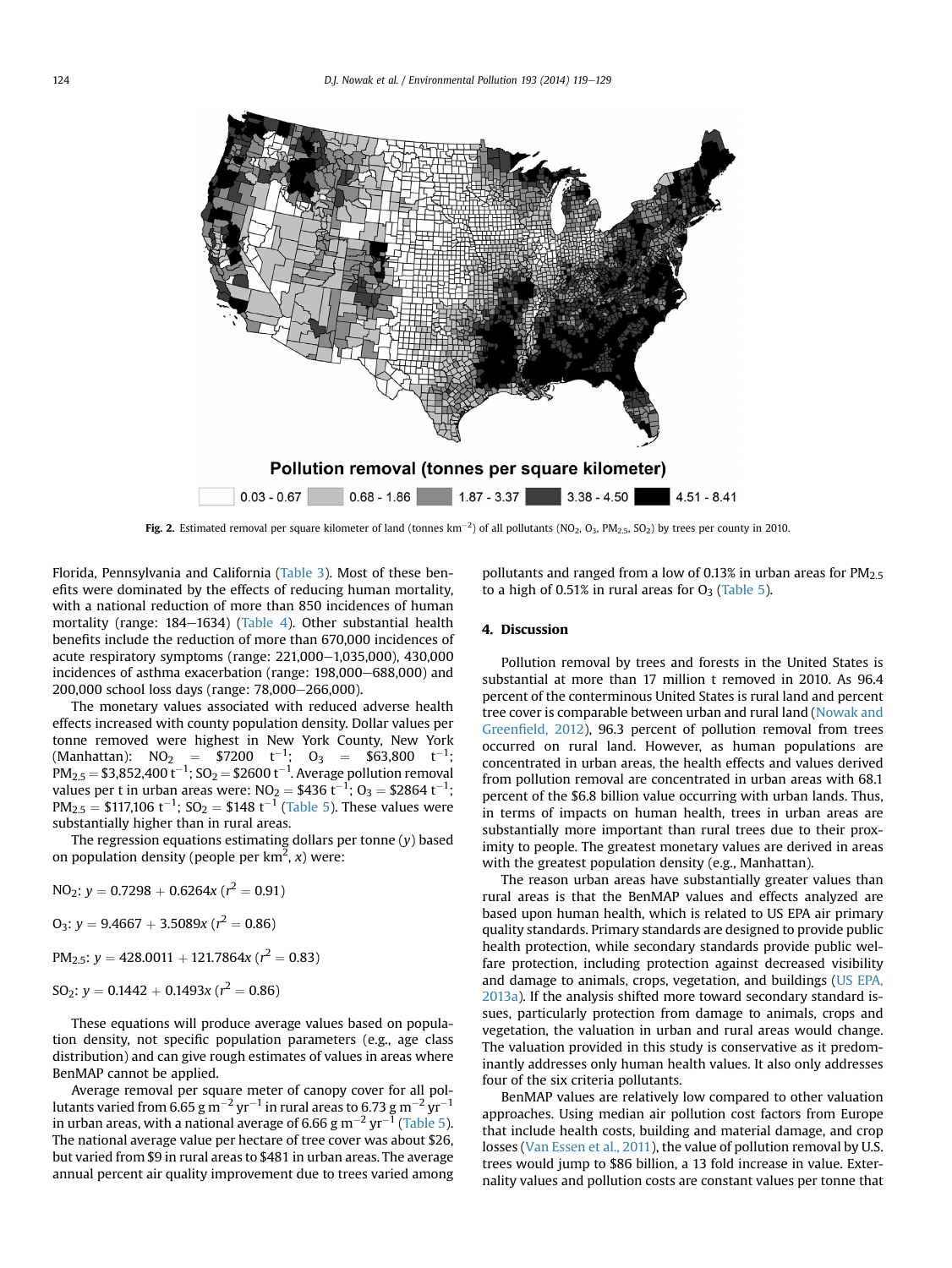<span id="page-5-0"></span>

**Fig. 2.** Estimated removal per square kilometer of land (tonnes  $km^{-2}$ ) of all pollutants (NO<sub>2</sub>, O<sub>3</sub>, PM<sub>2.5</sub>, SO<sub>2</sub>) by trees per county in 2010.

Florida, Pennsylvania and California ([Table 3](#page-6-0)). Most of these benefits were dominated by the effects of reducing human mortality, with a national reduction of more than 850 incidences of human mortality (range: 184-1634) [\(Table 4\)](#page-7-0). Other substantial health benefits include the reduction of more than 670,000 incidences of acute respiratory symptoms (range:  $221,000-1,035,000$ ),  $430,000$ incidences of asthma exacerbation (range:  $198,000-688,000$ ) and 200,000 school loss days (range: 78,000-266,000).

The monetary values associated with reduced adverse health effects increased with county population density. Dollar values per tonne removed were highest in New York County, New York (Manhattan):  $NO_2 = $7200$   $t^{-1}$ ;  $O_3 = $63,800$   $t^{-1}$ ;  $PM_{2.5} = $3,852,400 t^{-1}; SO<sub>2</sub> = $2600 t^{-1}$ . Average pollution removal values per t in urban areas were: NO<sub>2</sub> = \$436 t<sup>-1</sup>; O<sub>3</sub> = \$2864 t<sup>-1</sup>;  $PM_{2.5} = $117,106 \text{ t}^{-1}$ ; SO<sub>2</sub> = \$148 t<sup>-1</sup> [\(Table 5\)](#page-7-0). These values were substantially higher than in rural areas.

The regression equations estimating dollars per tonne  $(y)$  based on population density (people per  $km^2$ , x) were:

NO<sub>2</sub>: 
$$
y = 0.7298 + 0.6264x (r^2 = 0.91)
$$

 $O_3$ :  $y = 9.4667 + 3.5089x (r^2 = 0.86)$ 

PM<sub>2.5</sub>:  $y = 428.0011 + 121.7864x (r^2 = 0.83)$ 

 $SO_2$ :  $y = 0.1442 + 0.1493x (r^2 = 0.86)$ 

These equations will produce average values based on population density, not specific population parameters (e.g., age class distribution) and can give rough estimates of values in areas where BenMAP cannot be applied.

Average removal per square meter of canopy cover for all pollutants varied from 6.65 g m<sup>-2</sup> yr<sup>-1</sup> in rural areas to 6.73 g m<sup>-2</sup> yr<sup>-1</sup> in urban areas, with a national average of 6.66 g  $\text{m}^{-2}$  yr<sup>-1</sup> [\(Table 5\)](#page-7-0). The national average value per hectare of tree cover was about \$26, but varied from \$9 in rural areas to \$481 in urban areas. The average annual percent air quality improvement due to trees varied among pollutants and ranged from a low of 0.13% in urban areas for  $PM_{2.5}$ to a high of 0.51% in rural areas for  $O_3$  ([Table 5\)](#page-7-0).

# 4. Discussion

Pollution removal by trees and forests in the United States is substantial at more than 17 million t removed in 2010. As 96.4 percent of the conterminous United States is rural land and percent tree cover is comparable between urban and rural land ([Nowak and](#page-9-0) Greenfi[eld, 2012\)](#page-9-0), 96.3 percent of pollution removal from trees occurred on rural land. However, as human populations are concentrated in urban areas, the health effects and values derived from pollution removal are concentrated in urban areas with 68.1 percent of the \$6.8 billion value occurring with urban lands. Thus, in terms of impacts on human health, trees in urban areas are substantially more important than rural trees due to their proximity to people. The greatest monetary values are derived in areas with the greatest population density (e.g., Manhattan).

The reason urban areas have substantially greater values than rural areas is that the BenMAP values and effects analyzed are based upon human health, which is related to US EPA air primary quality standards. Primary standards are designed to provide public health protection, while secondary standards provide public welfare protection, including protection against decreased visibility and damage to animals, crops, vegetation, and buildings ([US EPA,](#page-9-0) [2013a](#page-9-0)). If the analysis shifted more toward secondary standard issues, particularly protection from damage to animals, crops and vegetation, the valuation in urban and rural areas would change. The valuation provided in this study is conservative as it predominantly addresses only human health values. It also only addresses four of the six criteria pollutants.

BenMAP values are relatively low compared to other valuation approaches. Using median air pollution cost factors from Europe that include health costs, building and material damage, and crop losses ([Van Essen et al., 2011\)](#page-10-0), the value of pollution removal by U.S. trees would jump to \$86 billion, a 13 fold increase in value. Externality values and pollution costs are constant values per tonne that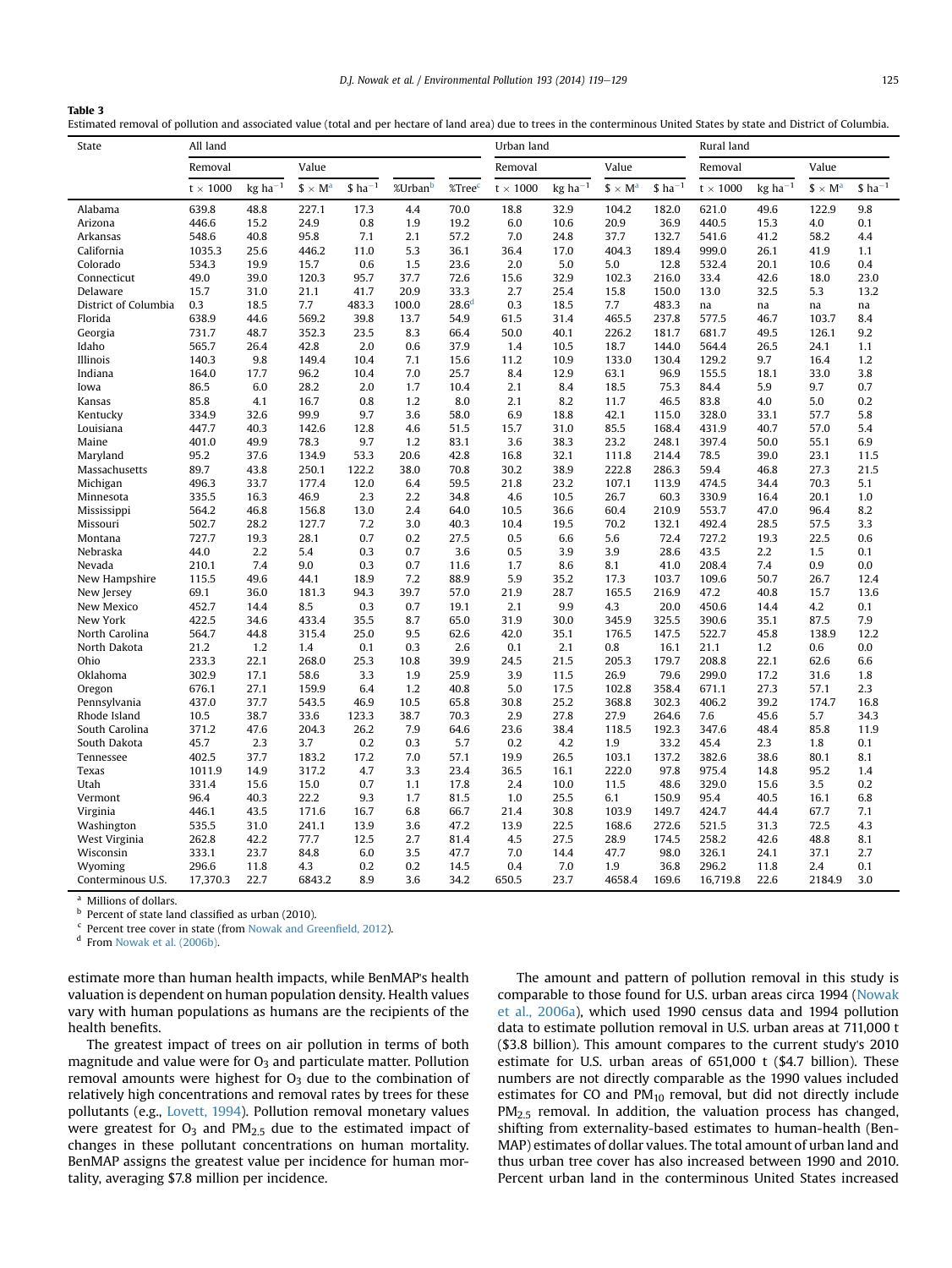Estimated removal of pollution and associated value (total and per hectare of land area) due to trees in the conterminous United States by state and District of Columbia.

| State                | All land        |                                    |                |                      |                     |                    |                 | Urban land            |                |                      |                   | Rural land                         |                |                      |  |
|----------------------|-----------------|------------------------------------|----------------|----------------------|---------------------|--------------------|-----------------|-----------------------|----------------|----------------------|-------------------|------------------------------------|----------------|----------------------|--|
|                      | Removal         |                                    | Value          |                      | Removal             |                    |                 | Value                 |                | Removal              |                   |                                    |                |                      |  |
|                      | $t \times 1000$ | $kg$ ha <sup><math>-1</math></sup> | $$ \times M^a$ | $$$ ha <sup>-1</sup> | %Urban <sup>b</sup> | %Tree <sup>c</sup> | $t \times 1000$ | $kg$ ha <sup>-1</sup> | $$ \times M^a$ | $$$ ha <sup>-1</sup> | $t$ $\times$ 1000 | $kg$ ha <sup><math>-1</math></sup> | $$ \times M^a$ | $$$ ha <sup>-1</sup> |  |
| Alabama              | 639.8           | 48.8                               | 227.1          | 17.3                 | 4.4                 | 70.0               | 18.8            | 32.9                  | 104.2          | 182.0                | 621.0             | 49.6                               | 122.9          | 9.8                  |  |
| Arizona              | 446.6           | 15.2                               | 24.9           | 0.8                  | 1.9                 | 19.2               | 6.0             | 10.6                  | 20.9           | 36.9                 | 440.5             | 15.3                               | 4.0            | 0.1                  |  |
| Arkansas             | 548.6           | 40.8                               | 95.8           | 7.1                  | 2.1                 | 57.2               | 7.0             | 24.8                  | 37.7           | 132.7                | 541.6             | 41.2                               | 58.2           | 4.4                  |  |
| California           | 1035.3          | 25.6                               | 446.2          | 11.0                 | 5.3                 | 36.1               | 36.4            | 17.0                  | 404.3          | 189.4                | 999.0             | 26.1                               | 41.9           | 1.1                  |  |
| Colorado             | 534.3           | 19.9                               | 15.7           | 0.6                  | 1.5                 | 23.6               | 2.0             | 5.0                   | 5.0            | 12.8                 | 532.4             | 20.1                               | 10.6           | 0.4                  |  |
| Connecticut          | 49.0            | 39.0                               | 120.3          | 95.7                 | 37.7                | 72.6               | 15.6            | 32.9                  | 102.3          | 216.0                | 33.4              | 42.6                               | 18.0           | 23.0                 |  |
| Delaware             | 15.7            | 31.0                               | 21.1           | 41.7                 | 20.9                | 33.3               | 2.7             | 25.4                  | 15.8           | 150.0                | 13.0              | 32.5                               | 5.3            | 13.2                 |  |
| District of Columbia | 0.3             | 18.5                               | 7.7            | 483.3                | 100.0               | 28.6 <sup>d</sup>  | 0.3             | 18.5                  | 7.7            | 483.3                | na                | na                                 | na             | na                   |  |
| Florida              | 638.9           | 44.6                               | 569.2          | 39.8                 | 13.7                | 54.9               | 61.5            | 31.4                  | 465.5          | 237.8                | 577.5             | 46.7                               | 103.7          | 8.4                  |  |
| Georgia              | 731.7           | 48.7                               | 352.3          | 23.5                 | 8.3                 | 66.4               | 50.0            | 40.1                  | 226.2          | 181.7                | 681.7             | 49.5                               | 126.1          | 9.2                  |  |
| Idaho                | 565.7           | 26.4                               | 42.8           | 2.0                  | 0.6                 | 37.9               | 1.4             | 10.5                  | 18.7           | 144.0                | 564.4             | 26.5                               | 24.1           | 1.1                  |  |
| Illinois             | 140.3           | 9.8                                | 149.4          | 10.4                 | 7.1                 | 15.6               | 11.2            | 10.9                  | 133.0          | 130.4                | 129.2             | 9.7                                | 16.4           | 1.2                  |  |
| Indiana              | 164.0           | 17.7                               | 96.2           | 10.4                 | 7.0                 | 25.7               | 8.4             | 12.9                  | 63.1           | 96.9                 | 155.5             | 18.1                               | 33.0           | 3.8                  |  |
| Iowa                 | 86.5            | 6.0                                | 28.2           | 2.0                  | 1.7                 | 10.4               | 2.1             | 8.4                   | 18.5           | 75.3                 | 84.4              | 5.9                                | 9.7            | 0.7                  |  |
| Kansas               | 85.8            | 4.1                                | 16.7           | 0.8                  | 1.2                 | 8.0                | 2.1             | 8.2                   | 11.7           | 46.5                 | 83.8              | 4.0                                | 5.0            | 0.2                  |  |
| Kentucky             | 334.9           | 32.6                               | 99.9           | 9.7                  | 3.6                 | 58.0               | 6.9             | 18.8                  | 42.1           | 115.0                | 328.0             | 33.1                               | 57.7           | 5.8                  |  |
| Louisiana            | 447.7           | 40.3                               | 142.6          | 12.8                 | 4.6                 | 51.5               | 15.7            | 31.0                  | 85.5           | 168.4                | 431.9             | 40.7                               | 57.0           | 5.4                  |  |
| Maine                | 401.0           | 49.9                               | 78.3           | 9.7                  | 1.2                 | 83.1               | 3.6             | 38.3                  | 23.2           | 248.1                | 397.4             | 50.0                               | 55.1           | 6.9                  |  |
| Maryland             | 95.2            | 37.6                               | 134.9          | 53.3                 | 20.6                | 42.8               | 16.8            | 32.1                  | 111.8          | 214.4                | 78.5              | 39.0                               | 23.1           | 11.5                 |  |
| Massachusetts        | 89.7            | 43.8                               | 250.1          | 122.2                | 38.0                | 70.8               | 30.2            | 38.9                  | 222.8          | 286.3                | 59.4              | 46.8                               | 27.3           | 21.5                 |  |
| Michigan             | 496.3           | 33.7                               | 177.4          | 12.0                 | 6.4                 | 59.5               | 21.8            | 23.2                  | 107.1          | 113.9                | 474.5             | 34.4                               | 70.3           | 5.1                  |  |
| Minnesota            | 335.5           | 16.3                               | 46.9           | 2.3                  | 2.2                 | 34.8               | 4.6             | 10.5                  | 26.7           | 60.3                 | 330.9             | 16.4                               | 20.1           | 1.0                  |  |
| Mississippi          | 564.2           | 46.8                               | 156.8          | 13.0                 | 2.4                 | 64.0               | 10.5            | 36.6                  | 60.4           | 210.9                | 553.7             | 47.0                               | 96.4           | 8.2                  |  |
| Missouri             | 502.7           | 28.2                               | 127.7          | 7.2                  | 3.0                 | 40.3               | 10.4            | 19.5                  | 70.2           | 132.1                | 492.4             | 28.5                               | 57.5           | 3.3                  |  |
| Montana              | 727.7           | 19.3                               | 28.1           | 0.7                  | 0.2                 | 27.5               | 0.5             | 6.6                   | 5.6            | 72.4                 | 727.2             | 19.3                               | 22.5           | 0.6                  |  |
| Nebraska             | 44.0            | 2.2                                | 5.4            | 0.3                  | 0.7                 | 3.6                | 0.5             | 3.9                   | 3.9            | 28.6                 | 43.5              | 2.2                                | 1.5            | 0.1                  |  |
| Nevada               | 210.1           | 7.4                                | 9.0            | 0.3                  | 0.7                 | 11.6               | 1.7             | 8.6                   | 8.1            | 41.0                 | 208.4             | 7.4                                | 0.9            | 0.0                  |  |
| New Hampshire        | 115.5           | 49.6                               | 44.1           | 18.9                 | 7.2                 | 88.9               | 5.9             | 35.2                  | 17.3           | 103.7                | 109.6             | 50.7                               | 26.7           | 12.4                 |  |
| New Jersey           | 69.1            | 36.0                               | 181.3          | 94.3                 | 39.7                | 57.0               | 21.9            | 28.7                  | 165.5          | 216.9                | 47.2              | 40.8                               | 15.7           | 13.6                 |  |
| New Mexico           | 452.7           | 14.4                               | 8.5            | 0.3                  | 0.7                 | 19.1               | 2.1             | 9.9                   | 4.3            | 20.0                 | 450.6             | 14.4                               | 4.2            | 0.1                  |  |
| New York             | 422.5           | 34.6                               | 433.4          | 35.5                 | 8.7                 | 65.0               | 31.9            | 30.0                  | 345.9          | 325.5                | 390.6             | 35.1                               | 87.5           | 7.9                  |  |
| North Carolina       | 564.7           | 44.8                               | 315.4          | 25.0                 | 9.5                 | 62.6               | 42.0            | 35.1                  | 176.5          | 147.5                | 522.7             | 45.8                               | 138.9          | 12.2                 |  |
| North Dakota         | 21.2            | 1.2                                | 1.4            | 0.1                  | 0.3                 | 2.6                | 0.1             | 2.1                   | 0.8            | 16.1                 | 21.1              | 1.2                                | 0.6            | 0.0                  |  |
| Ohio                 | 233.3           | 22.1                               | 268.0          | 25.3                 | 10.8                | 39.9               | 24.5            | 21.5                  | 205.3          | 179.7                | 208.8             | 22.1                               | 62.6           | 6.6                  |  |
| Oklahoma             | 302.9           | 17.1                               | 58.6           | 3.3                  | 1.9                 | 25.9               | 3.9             | 11.5                  | 26.9           | 79.6                 | 299.0             | 17.2                               | 31.6           | 1.8                  |  |
| Oregon               | 676.1           | 27.1                               | 159.9          | 6.4                  | 1.2                 | 40.8               | 5.0             | 17.5                  | 102.8          | 358.4                | 671.1             | 27.3                               | 57.1           | 2.3                  |  |
| Pennsylvania         | 437.0           | 37.7                               | 543.5          | 46.9                 | 10.5                | 65.8               | 30.8            | 25.2                  | 368.8          | 302.3                | 406.2             | 39.2                               | 174.7          | 16.8                 |  |
| Rhode Island         | 10.5            | 38.7                               | 33.6           | 123.3                | 38.7                | 70.3               | 2.9             | 27.8                  | 27.9           | 264.6                | 7.6               | 45.6                               | 5.7            | 34.3                 |  |
| South Carolina       | 371.2           | 47.6                               | 204.3          | 26.2                 | 7.9                 | 64.6               | 23.6            | 38.4                  | 118.5          | 192.3                | 347.6             | 48.4                               | 85.8           | 11.9                 |  |
| South Dakota         | 45.7            | 2.3                                | 3.7            | 0.2                  | 0.3                 | 5.7                | 0.2             | 4.2                   | 1.9            | 33.2                 | 45.4              | 2.3                                | 1.8            | 0.1                  |  |
| Tennessee            | 402.5           | 37.7                               | 183.2          | 17.2                 | 7.0                 | 57.1               | 19.9            | 26.5                  | 103.1          | 137.2                | 382.6             | 38.6                               | 80.1           | 8.1                  |  |
| Texas                | 1011.9          | 14.9                               | 317.2          | 4.7                  | 3.3                 | 23.4               | 36.5            | 16.1                  | 222.0          | 97.8                 | 975.4             | 14.8                               | 95.2           | 1.4                  |  |
| Utah                 | 331.4           | 15.6                               | 15.0           | 0.7                  | 1.1                 | 17.8               | 2.4             | 10.0                  | 11.5           | 48.6                 | 329.0             | 15.6                               | 3.5            | $0.2\,$              |  |
| Vermont              | 96.4            | 40.3                               | 22.2           | 9.3                  | 1.7                 | 81.5               | 1.0             | 25.5                  | 6.1            | 150.9                | 95.4              | 40.5                               | 16.1           | 6.8                  |  |
| Virginia             | 446.1           | 43.5                               | 171.6          | 16.7                 | 6.8                 | 66.7               | 21.4            | 30.8                  | 103.9          | 149.7                | 424.7             | 44.4                               | 67.7           | 7.1                  |  |
| Washington           | 535.5           | 31.0                               | 241.1          | 13.9                 | 3.6                 | 47.2               | 13.9            | 22.5                  | 168.6          | 272.6                | 521.5             | 31.3                               | 72.5           | 4.3                  |  |
| West Virginia        | 262.8           | 42.2                               | 77.7           | 12.5                 | 2.7                 | 81.4               | 4.5             | 27.5                  | 28.9           | 174.5                | 258.2             | 42.6                               | 48.8           | 8.1                  |  |
| Wisconsin            | 333.1           | 23.7                               | 84.8           | 6.0                  | 3.5                 | 47.7               | 7.0             | 14.4                  | 47.7           | 98.0                 | 326.1             | 24.1                               | 37.1           | 2.7                  |  |
| Wyoming              | 296.6           | 11.8                               | 4.3            | 0.2                  | 0.2                 | 14.5               | 0.4             | 7.0                   | 1.9            | 36.8                 | 296.2             | 11.8                               | 2.4            | 0.1                  |  |
| Conterminous U.S.    | 17,370.3        | 22.7                               | 6843.2         | 8.9                  | 3.6                 | 34.2               | 650.5           | 23.7                  | 4658.4         | 169.6                | 16,719.8          | 22.6                               | 2184.9         | 3.0                  |  |

 $a$  Millions of dollars.<br>b Percent of state lare

<span id="page-6-0"></span>Table 3

Percent of state land classified as urban (2010).

Percent tree cover in state (from [Nowak and Green](#page-9-0)field, 2012).

<sup>d</sup> From [Nowak et al. \(2006b\)](#page-9-0).

estimate more than human health impacts, while BenMAP's health valuation is dependent on human population density. Health values vary with human populations as humans are the recipients of the health benefits.

The greatest impact of trees on air pollution in terms of both magnitude and value were for  $O_3$  and particulate matter. Pollution removal amounts were highest for  $O_3$  due to the combination of relatively high concentrations and removal rates by trees for these pollutants (e.g., [Lovett, 1994\)](#page-9-0). Pollution removal monetary values were greatest for  $O_3$  and  $PM_{2.5}$  due to the estimated impact of changes in these pollutant concentrations on human mortality. BenMAP assigns the greatest value per incidence for human mortality, averaging \$7.8 million per incidence.

The amount and pattern of pollution removal in this study is comparable to those found for U.S. urban areas circa 1994 [\(Nowak](#page-9-0) [et al., 2006a](#page-9-0)), which used 1990 census data and 1994 pollution data to estimate pollution removal in U.S. urban areas at 711,000 t (\$3.8 billion). This amount compares to the current study's 2010 estimate for U.S. urban areas of 651,000 t (\$4.7 billion). These numbers are not directly comparable as the 1990 values included estimates for CO and  $PM_{10}$  removal, but did not directly include PM<sub>2.5</sub> removal. In addition, the valuation process has changed, shifting from externality-based estimates to human-health (Ben-MAP) estimates of dollar values. The total amount of urban land and thus urban tree cover has also increased between 1990 and 2010. Percent urban land in the conterminous United States increased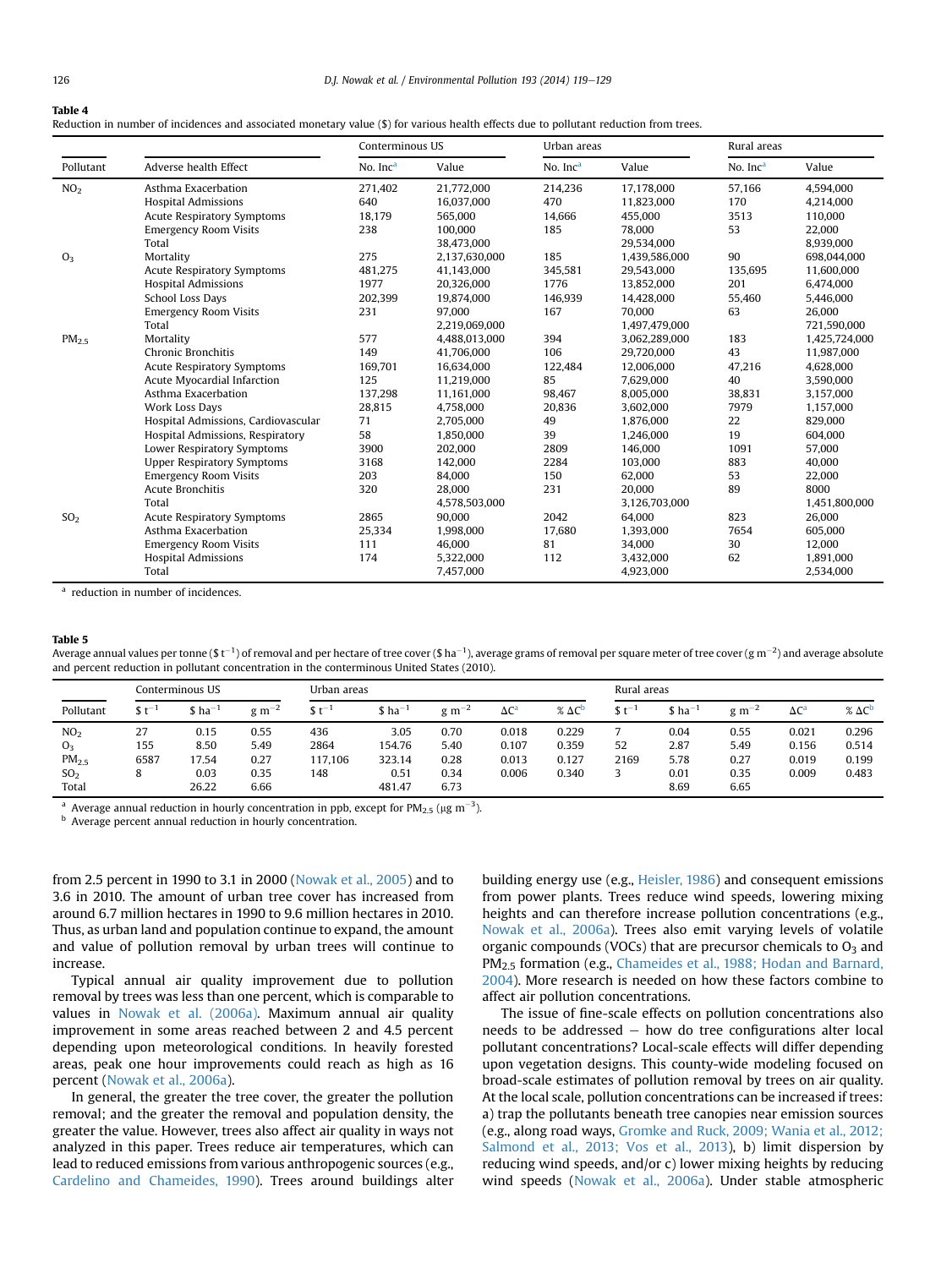#### <span id="page-7-0"></span>Table 4

Reduction in number of incidences and associated monetary value (\$) for various health effects due to pollutant reduction from trees.

|                   |                                                                                                                                                                                                                                                                                                                                                                                                                                                                                                      | Conterminous US      |               | Urban areas          |               | Rural areas |               |  |
|-------------------|------------------------------------------------------------------------------------------------------------------------------------------------------------------------------------------------------------------------------------------------------------------------------------------------------------------------------------------------------------------------------------------------------------------------------------------------------------------------------------------------------|----------------------|---------------|----------------------|---------------|-------------|---------------|--|
| Pollutant         | Adverse health Effect                                                                                                                                                                                                                                                                                                                                                                                                                                                                                | No. Inc <sup>a</sup> | Value         | No. Inc <sup>a</sup> | Value         | No. $Inca$  | Value         |  |
| NO <sub>2</sub>   | Asthma Exacerbation                                                                                                                                                                                                                                                                                                                                                                                                                                                                                  | 271,402              | 21,772,000    | 214,236              | 17,178,000    | 57,166      | 4,594,000     |  |
|                   | <b>Hospital Admissions</b>                                                                                                                                                                                                                                                                                                                                                                                                                                                                           | 640                  | 16,037,000    | 470                  | 11,823,000    | 170         | 4,214,000     |  |
|                   | <b>Acute Respiratory Symptoms</b>                                                                                                                                                                                                                                                                                                                                                                                                                                                                    | 18,179               | 565,000       | 14,666               | 455,000       | 3513        | 110,000       |  |
|                   | <b>Emergency Room Visits</b>                                                                                                                                                                                                                                                                                                                                                                                                                                                                         | 238                  | 100.000       | 185                  | 78,000        | 53          | 22,000        |  |
|                   | Total                                                                                                                                                                                                                                                                                                                                                                                                                                                                                                |                      | 38,473,000    |                      | 29,534,000    |             | 8,939,000     |  |
| O <sub>3</sub>    | Mortality<br><b>Acute Respiratory Symptoms</b><br><b>Hospital Admissions</b><br>School Loss Days<br><b>Emergency Room Visits</b><br>Total<br>Mortality<br>Chronic Bronchitis<br><b>Acute Respiratory Symptoms</b><br>Acute Myocardial Infarction<br>Asthma Exacerbation<br>Work Loss Days<br>Hospital Admissions, Cardiovascular<br>Hospital Admissions, Respiratory<br>Lower Respiratory Symptoms<br><b>Upper Respiratory Symptoms</b><br><b>Emergency Room Visits</b><br>Acute Bronchitis<br>Total | 275                  | 2,137,630,000 | 185                  | 1,439,586,000 | 90          | 698,044,000   |  |
|                   |                                                                                                                                                                                                                                                                                                                                                                                                                                                                                                      | 481,275              | 41,143,000    | 345,581              | 29,543,000    | 135.695     | 11,600,000    |  |
|                   |                                                                                                                                                                                                                                                                                                                                                                                                                                                                                                      | 1977                 | 20.326.000    | 1776                 | 13.852.000    | 201         | 6.474.000     |  |
|                   | <b>Acute Respiratory Symptoms</b><br>Asthma Exacerbation<br><b>Emergency Room Visits</b><br><b>Hospital Admissions</b>                                                                                                                                                                                                                                                                                                                                                                               | 202,399              | 19,874,000    | 146,939              | 14,428,000    | 55,460      | 5,446,000     |  |
|                   |                                                                                                                                                                                                                                                                                                                                                                                                                                                                                                      | 231                  | 97.000        | 167                  | 70,000        | 63          | 26,000        |  |
|                   |                                                                                                                                                                                                                                                                                                                                                                                                                                                                                                      |                      | 2,219,069,000 |                      | 1,497,479,000 |             | 721.590.000   |  |
| PM <sub>2.5</sub> |                                                                                                                                                                                                                                                                                                                                                                                                                                                                                                      | 577                  | 4,488,013,000 | 394                  | 3,062,289,000 | 183         | 1,425,724,000 |  |
|                   |                                                                                                                                                                                                                                                                                                                                                                                                                                                                                                      | 149                  | 41,706,000    | 106                  | 29,720,000    | 43          | 11,987,000    |  |
|                   |                                                                                                                                                                                                                                                                                                                                                                                                                                                                                                      | 169,701              | 16.634.000    | 122,484              | 12,006,000    | 47,216      | 4,628,000     |  |
|                   |                                                                                                                                                                                                                                                                                                                                                                                                                                                                                                      | 125                  | 11.219.000    | 85                   | 7.629.000     | 40          | 3.590.000     |  |
|                   |                                                                                                                                                                                                                                                                                                                                                                                                                                                                                                      | 137,298              | 11,161,000    | 98,467               | 8,005,000     | 38,831      | 3,157,000     |  |
|                   |                                                                                                                                                                                                                                                                                                                                                                                                                                                                                                      | 28,815               | 4,758,000     | 20,836               | 3,602,000     | 7979        | 1,157,000     |  |
|                   |                                                                                                                                                                                                                                                                                                                                                                                                                                                                                                      | 71                   | 2.705.000     | 49                   | 1.876.000     | 22          | 829,000       |  |
|                   |                                                                                                                                                                                                                                                                                                                                                                                                                                                                                                      | 58                   | 1,850,000     | 39                   | 1,246,000     | 19          | 604,000       |  |
|                   |                                                                                                                                                                                                                                                                                                                                                                                                                                                                                                      | 3900                 | 202,000       | 2809                 | 146,000       | 1091        | 57,000        |  |
|                   |                                                                                                                                                                                                                                                                                                                                                                                                                                                                                                      | 3168                 | 142,000       | 2284                 | 103,000       | 883         | 40,000        |  |
|                   |                                                                                                                                                                                                                                                                                                                                                                                                                                                                                                      | 203                  | 84.000        | 150                  | 62.000        | 53          | 22,000        |  |
|                   |                                                                                                                                                                                                                                                                                                                                                                                                                                                                                                      | 320                  | 28,000        | 231                  | 20,000        | 89          | 8000          |  |
|                   |                                                                                                                                                                                                                                                                                                                                                                                                                                                                                                      |                      | 4,578,503,000 |                      | 3,126,703,000 |             | 1,451,800,000 |  |
| SO <sub>2</sub>   |                                                                                                                                                                                                                                                                                                                                                                                                                                                                                                      | 2865                 | 90.000        | 2042                 | 64.000        | 823         | 26,000        |  |
|                   |                                                                                                                                                                                                                                                                                                                                                                                                                                                                                                      | 25,334               | 1,998,000     | 17,680               | 1,393,000     | 7654        | 605,000       |  |
|                   |                                                                                                                                                                                                                                                                                                                                                                                                                                                                                                      | 111                  | 46,000        | 81                   | 34,000        | 30          | 12,000        |  |
|                   |                                                                                                                                                                                                                                                                                                                                                                                                                                                                                                      | 174                  | 5,322,000     | 112                  | 3,432,000     | 62          | 1,891,000     |  |
|                   | Total                                                                                                                                                                                                                                                                                                                                                                                                                                                                                                |                      | 7,457,000     |                      | 4,923,000     |             | 2,534,000     |  |

<sup>a</sup> reduction in number of incidences.

#### Table 5

Average annual values per tonne (\$ t<sup>-1</sup>) of removal and per hectare of tree cover (\$ ha<sup>-1</sup>), average grams of removal per square meter of tree cover (g m<sup>-2</sup>) and average absolute and percent reduction in pollutant concentration in the conterminous United States (2010).

|                                                                                    | Conterminous US        |                                        |                                      | Urban areas                   |                                            |                                      |                                  |                                  | Rural areas |                                      |                                      |                                  |                                  |  |
|------------------------------------------------------------------------------------|------------------------|----------------------------------------|--------------------------------------|-------------------------------|--------------------------------------------|--------------------------------------|----------------------------------|----------------------------------|-------------|--------------------------------------|--------------------------------------|----------------------------------|----------------------------------|--|
| Pollutant                                                                          | $$t^{-1}$              | $$$ ha <sup>-1</sup>                   | $g \text{m}^{-2}$                    | $C_{+}^{-1}$                  | $$$ ha <sup>-1</sup>                       | $g \text{ m}^{-2}$                   | $\Delta C^a$                     | $\%$ $\Delta C^D$                | $$t^-$      | $$$ ha <sup>-1</sup>                 | $g \text{ m}^{-2}$                   | $\Delta C^a$                     | $\%$ $\Delta C^b$                |  |
| NO <sub>2</sub><br>O <sub>3</sub><br>PM <sub>2.5</sub><br>SO <sub>2</sub><br>Total | 27<br>155<br>6587<br>8 | 0.15<br>8.50<br>17.54<br>0.03<br>26.22 | 0.55<br>5.49<br>0.27<br>0.35<br>6.66 | 436<br>2864<br>117.106<br>148 | 3.05<br>154.76<br>323.14<br>0.51<br>481.47 | 0.70<br>5.40<br>0.28<br>0.34<br>6.73 | 0.018<br>0.107<br>0.013<br>0.006 | 0.229<br>0.359<br>0.127<br>0.340 | 52<br>2169  | 0.04<br>2.87<br>5.78<br>0.01<br>8.69 | 0.55<br>5.49<br>0.27<br>0.35<br>6.65 | 0.021<br>0.156<br>0.019<br>0.009 | 0.296<br>0.514<br>0.199<br>0.483 |  |

<sup>a</sup> Average annual reduction in hourly concentration in ppb, except for PM<sub>2.5</sub> ( $\mu$ g m<sup>-3</sup>).

**b** Average percent annual reduction in hourly concentration.

from 2.5 percent in 1990 to 3.1 in 2000 ([Nowak et al., 2005\)](#page-9-0) and to 3.6 in 2010. The amount of urban tree cover has increased from around 6.7 million hectares in 1990 to 9.6 million hectares in 2010. Thus, as urban land and population continue to expand, the amount and value of pollution removal by urban trees will continue to increase.

Typical annual air quality improvement due to pollution removal by trees was less than one percent, which is comparable to values in [Nowak et al. \(2006a\).](#page-9-0) Maximum annual air quality improvement in some areas reached between 2 and 4.5 percent depending upon meteorological conditions. In heavily forested areas, peak one hour improvements could reach as high as 16 percent [\(Nowak et al., 2006a](#page-9-0)).

In general, the greater the tree cover, the greater the pollution removal; and the greater the removal and population density, the greater the value. However, trees also affect air quality in ways not analyzed in this paper. Trees reduce air temperatures, which can lead to reduced emissions from various anthropogenic sources (e.g., [Cardelino and Chameides, 1990](#page-8-0)). Trees around buildings alter building energy use (e.g., [Heisler, 1986\)](#page-9-0) and consequent emissions from power plants. Trees reduce wind speeds, lowering mixing heights and can therefore increase pollution concentrations (e.g., [Nowak et al., 2006a\)](#page-9-0). Trees also emit varying levels of volatile organic compounds (VOCs) that are precursor chemicals to  $O<sub>3</sub>$  and PM2.5 formation (e.g., [Chameides et al., 1988; Hodan and Barnard,](#page-8-0) [2004](#page-8-0)). More research is needed on how these factors combine to affect air pollution concentrations.

The issue of fine-scale effects on pollution concentrations also needs to be addressed  $-$  how do tree configurations alter local pollutant concentrations? Local-scale effects will differ depending upon vegetation designs. This county-wide modeling focused on broad-scale estimates of pollution removal by trees on air quality. At the local scale, pollution concentrations can be increased if trees: a) trap the pollutants beneath tree canopies near emission sources (e.g., along road ways, [Gromke and Ruck, 2009; Wania et al., 2012;](#page-9-0) [Salmond et al., 2013; Vos et al., 2013\)](#page-9-0), b) limit dispersion by reducing wind speeds, and/or c) lower mixing heights by reducing wind speeds [\(Nowak et al., 2006a](#page-9-0)). Under stable atmospheric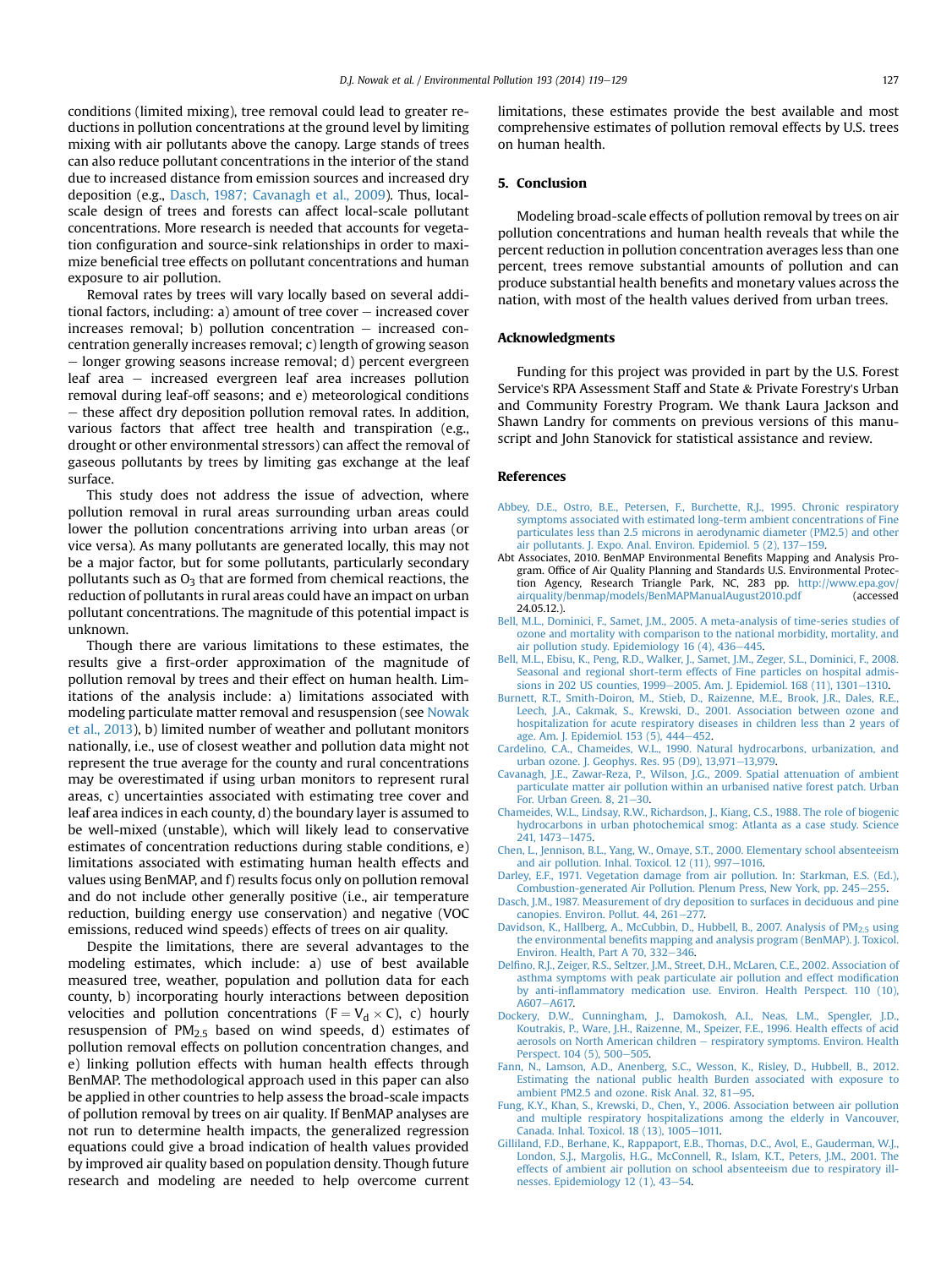<span id="page-8-0"></span>conditions (limited mixing), tree removal could lead to greater reductions in pollution concentrations at the ground level by limiting mixing with air pollutants above the canopy. Large stands of trees can also reduce pollutant concentrations in the interior of the stand due to increased distance from emission sources and increased dry deposition (e.g., Dasch, 1987; Cavanagh et al., 2009). Thus, localscale design of trees and forests can affect local-scale pollutant concentrations. More research is needed that accounts for vegetation configuration and source-sink relationships in order to maximize beneficial tree effects on pollutant concentrations and human exposure to air pollution.

Removal rates by trees will vary locally based on several additional factors, including:  $a)$  amount of tree cover  $-$  increased cover increases removal; b) pollution concentration  $-$  increased concentration generally increases removal; c) length of growing season  $\mathcal{L}$  longer growing seasons increase removal; d) percent evergreen leaf area  $-$  increased evergreen leaf area increases pollution removal during leaf-off seasons; and e) meteorological conditions  $-$  these affect dry deposition pollution removal rates. In addition, various factors that affect tree health and transpiration (e.g., drought or other environmental stressors) can affect the removal of gaseous pollutants by trees by limiting gas exchange at the leaf surface.

This study does not address the issue of advection, where pollution removal in rural areas surrounding urban areas could lower the pollution concentrations arriving into urban areas (or vice versa). As many pollutants are generated locally, this may not be a major factor, but for some pollutants, particularly secondary pollutants such as  $O_3$  that are formed from chemical reactions, the reduction of pollutants in rural areas could have an impact on urban pollutant concentrations. The magnitude of this potential impact is unknown.

Though there are various limitations to these estimates, the results give a first-order approximation of the magnitude of pollution removal by trees and their effect on human health. Limitations of the analysis include: a) limitations associated with modeling particulate matter removal and resuspension (see [Nowak](#page-9-0) [et al., 2013](#page-9-0)), b) limited number of weather and pollutant monitors nationally, i.e., use of closest weather and pollution data might not represent the true average for the county and rural concentrations may be overestimated if using urban monitors to represent rural areas, c) uncertainties associated with estimating tree cover and leaf area indices in each county, d) the boundary layer is assumed to be well-mixed (unstable), which will likely lead to conservative estimates of concentration reductions during stable conditions, e) limitations associated with estimating human health effects and values using BenMAP, and f) results focus only on pollution removal and do not include other generally positive (i.e., air temperature reduction, building energy use conservation) and negative (VOC emissions, reduced wind speeds) effects of trees on air quality.

Despite the limitations, there are several advantages to the modeling estimates, which include: a) use of best available measured tree, weather, population and pollution data for each county, b) incorporating hourly interactions between deposition velocities and pollution concentrations ( $F = V_d \times C$ ), c) hourly resuspension of  $PM<sub>2.5</sub>$  based on wind speeds, d) estimates of pollution removal effects on pollution concentration changes, and e) linking pollution effects with human health effects through BenMAP. The methodological approach used in this paper can also be applied in other countries to help assess the broad-scale impacts of pollution removal by trees on air quality. If BenMAP analyses are not run to determine health impacts, the generalized regression equations could give a broad indication of health values provided by improved air quality based on population density. Though future research and modeling are needed to help overcome current limitations, these estimates provide the best available and most comprehensive estimates of pollution removal effects by U.S. trees on human health.

# 5. Conclusion

Modeling broad-scale effects of pollution removal by trees on air pollution concentrations and human health reveals that while the percent reduction in pollution concentration averages less than one percent, trees remove substantial amounts of pollution and can produce substantial health benefits and monetary values across the nation, with most of the health values derived from urban trees.

#### Acknowledgments

Funding for this project was provided in part by the U.S. Forest Service's RPA Assessment Staff and State & Private Forestry's Urban and Community Forestry Program. We thank Laura Jackson and Shawn Landry for comments on previous versions of this manuscript and John Stanovick for statistical assistance and review.

## References

- [Abbey, D.E., Ostro, B.E., Petersen, F., Burchette, R.J., 1995. Chronic respiratory](http://refhub.elsevier.com/S0269-7491(14)00239-5/sref1) [symptoms associated with estimated long-term ambient concentrations of Fine](http://refhub.elsevier.com/S0269-7491(14)00239-5/sref1) [particulates less than 2.5 microns in aerodynamic diameter \(PM2.5\) and other](http://refhub.elsevier.com/S0269-7491(14)00239-5/sref1) air pollutants. J. Expo. Anal. Environ. Epidemiol. 5  $(2)$ , 137-[159.](http://refhub.elsevier.com/S0269-7491(14)00239-5/sref1)
- Abt Associates, 2010. BenMAP Environmental Benefits Mapping and Analysis Program. Office of Air Quality Planning and Standards U.S. Environmental Protection Agency, Research Triangle Park, NC, 283 pp. [http://www.epa.gov/](http://www.epa.gov/airquality/benmap/models/BenMAPManualAugust2010.pdf) [airquality/benmap/models/BenMAPManualAugust2010.pdf](http://www.epa.gov/airquality/benmap/models/BenMAPManualAugust2010.pdf) (accessed 24.05.12.).
- [Bell, M.L., Dominici, F., Samet, J.M., 2005. A meta-analysis of time-series studies of](http://refhub.elsevier.com/S0269-7491(14)00239-5/sref3) [ozone and mortality with comparison to the national morbidity, mortality, and](http://refhub.elsevier.com/S0269-7491(14)00239-5/sref3) air pollution study. Epidemiology 16 (4),  $436-445$  $436-445$ .
- [Bell, M.L., Ebisu, K., Peng, R.D., Walker, J., Samet, J.M., Zeger, S.L., Dominici, F., 2008.](http://refhub.elsevier.com/S0269-7491(14)00239-5/sref4) [Seasonal and regional short-term effects of Fine particles on hospital admis](http://refhub.elsevier.com/S0269-7491(14)00239-5/sref4)[sions in 202 US counties, 1999](http://refhub.elsevier.com/S0269-7491(14)00239-5/sref4)-[2005. Am. J. Epidemiol. 168 \(11\), 1301](http://refhub.elsevier.com/S0269-7491(14)00239-5/sref4)-[1310.](http://refhub.elsevier.com/S0269-7491(14)00239-5/sref4)
- [Burnett, R.T., Smith-Doiron, M., Stieb, D., Raizenne, M.E., Brook, J.R., Dales, R.E.,](http://refhub.elsevier.com/S0269-7491(14)00239-5/sref5) [Leech, J.A., Cakmak, S., Krewski, D., 2001. Association between ozone and](http://refhub.elsevier.com/S0269-7491(14)00239-5/sref5) [hospitalization for acute respiratory diseases in children less than 2 years of](http://refhub.elsevier.com/S0269-7491(14)00239-5/sref5)
- [age. Am. J. Epidemiol. 153 \(5\), 444](http://refhub.elsevier.com/S0269-7491(14)00239-5/sref5)–[452](http://refhub.elsevier.com/S0269-7491(14)00239-5/sref5).<br>[Cardelino, C.A., Chameides, W.L., 1990. Natural hydrocarbons, urbanization, and](http://refhub.elsevier.com/S0269-7491(14)00239-5/sref6) [urban ozone. J. Geophys. Res. 95 \(D9\), 13,971](http://refhub.elsevier.com/S0269-7491(14)00239-5/sref6)-[13,979](http://refhub.elsevier.com/S0269-7491(14)00239-5/sref6).
- [Cavanagh, J.E., Zawar-Reza, P., Wilson, J.G., 2009. Spatial attenuation of ambient](http://refhub.elsevier.com/S0269-7491(14)00239-5/sref7) [particulate matter air pollution within an urbanised native forest patch. Urban](http://refhub.elsevier.com/S0269-7491(14)00239-5/sref7) For. Urban Green. 8,  $21-30$  $21-30$ .
- [Chameides, W.L., Lindsay, R.W., Richardson, J., Kiang, C.S., 1988. The role of biogenic](http://refhub.elsevier.com/S0269-7491(14)00239-5/sref8) [hydrocarbons in urban photochemical smog: Atlanta as a case study. Science](http://refhub.elsevier.com/S0269-7491(14)00239-5/sref8) [241, 1473](http://refhub.elsevier.com/S0269-7491(14)00239-5/sref8)-[1475.](http://refhub.elsevier.com/S0269-7491(14)00239-5/sref8)
- [Chen, L., Jennison, B.L., Yang, W., Omaye, S.T., 2000. Elementary school absenteeism](http://refhub.elsevier.com/S0269-7491(14)00239-5/sref9)<br>[and air pollution. Inhal. Toxicol. 12 \(11\), 997](http://refhub.elsevier.com/S0269-7491(14)00239-5/sref9)–[1016](http://refhub.elsevier.com/S0269-7491(14)00239-5/sref9).
- [Darley, E.F., 1971. Vegetation damage from air pollution. In: Starkman, E.S. \(Ed.\),](http://refhub.elsevier.com/S0269-7491(14)00239-5/sref10) [Combustion-generated Air Pollution. Plenum Press, New York, pp. 245](http://refhub.elsevier.com/S0269-7491(14)00239-5/sref10)-[255.](http://refhub.elsevier.com/S0269-7491(14)00239-5/sref10)
- [Dasch, J.M., 1987. Measurement of dry deposition to surfaces in deciduous and pine](http://refhub.elsevier.com/S0269-7491(14)00239-5/sref11) canopies. Environ. Pollut.  $44$ ,  $261-277$
- Davidson, K., Hallberg, A., McCubbin, D., Hubbell, B., 2007. Analysis of  $PM_2$ 5 [using](http://refhub.elsevier.com/S0269-7491(14)00239-5/sref12) the environmental benefi[ts mapping and analysis program \(BenMAP\). J. Toxicol.](http://refhub.elsevier.com/S0269-7491(14)00239-5/sref12) Environ. Health, Part A  $70, 332-346$  $70, 332-346$ .
- Delfi[no, R.J., Zeiger, R.S., Seltzer, J.M., Street, D.H., McLaren, C.E., 2002. Association of](http://refhub.elsevier.com/S0269-7491(14)00239-5/sref13) [asthma symptoms with peak particulate air pollution and effect modi](http://refhub.elsevier.com/S0269-7491(14)00239-5/sref13)fication by anti-infl[ammatory medication use. Environ. Health Perspect. 110 \(10\),](http://refhub.elsevier.com/S0269-7491(14)00239-5/sref13) [A607](http://refhub.elsevier.com/S0269-7491(14)00239-5/sref13)-[A617.](http://refhub.elsevier.com/S0269-7491(14)00239-5/sref13)
- [Dockery, D.W., Cunningham, J., Damokosh, A.I., Neas, L.M., Spengler, J.D.,](http://refhub.elsevier.com/S0269-7491(14)00239-5/sref14) [Koutrakis, P., Ware, J.H., Raizenne, M., Speizer, F.E., 1996. Health effects of acid](http://refhub.elsevier.com/S0269-7491(14)00239-5/sref14) [aerosols on North American children](http://refhub.elsevier.com/S0269-7491(14)00239-5/sref14) - [respiratory symptoms. Environ. Health](http://refhub.elsevier.com/S0269-7491(14)00239-5/sref14) [Perspect. 104 \(5\), 500](http://refhub.elsevier.com/S0269-7491(14)00239-5/sref14)-[505.](http://refhub.elsevier.com/S0269-7491(14)00239-5/sref14)
- [Fann, N., Lamson, A.D., Anenberg, S.C., Wesson, K., Risley, D., Hubbell, B., 2012.](http://refhub.elsevier.com/S0269-7491(14)00239-5/sref15) [Estimating the national public health Burden associated with exposure to](http://refhub.elsevier.com/S0269-7491(14)00239-5/sref15) [ambient PM2.5 and ozone. Risk Anal. 32, 81](http://refhub.elsevier.com/S0269-7491(14)00239-5/sref15)-[95.](http://refhub.elsevier.com/S0269-7491(14)00239-5/sref15)
- [Fung, K.Y., Khan, S., Krewski, D., Chen, Y., 2006. Association between air pollution](http://refhub.elsevier.com/S0269-7491(14)00239-5/sref16) [and multiple respiratory hospitalizations among the elderly in Vancouver,](http://refhub.elsevier.com/S0269-7491(14)00239-5/sref16) [Canada. Inhal. Toxicol. 18 \(13\), 1005](http://refhub.elsevier.com/S0269-7491(14)00239-5/sref16)-[1011.](http://refhub.elsevier.com/S0269-7491(14)00239-5/sref16)
- [Gilliland, F.D., Berhane, K., Rappaport, E.B., Thomas, D.C., Avol, E., Gauderman, W.J.,](http://refhub.elsevier.com/S0269-7491(14)00239-5/sref17) [London, S.J., Margolis, H.G., McConnell, R., Islam, K.T., Peters, J.M., 2001. The](http://refhub.elsevier.com/S0269-7491(14)00239-5/sref17) [effects of ambient air pollution on school absenteeism due to respiratory ill](http://refhub.elsevier.com/S0269-7491(14)00239-5/sref17)[nesses. Epidemiology 12 \(1\), 43](http://refhub.elsevier.com/S0269-7491(14)00239-5/sref17)-[54.](http://refhub.elsevier.com/S0269-7491(14)00239-5/sref17)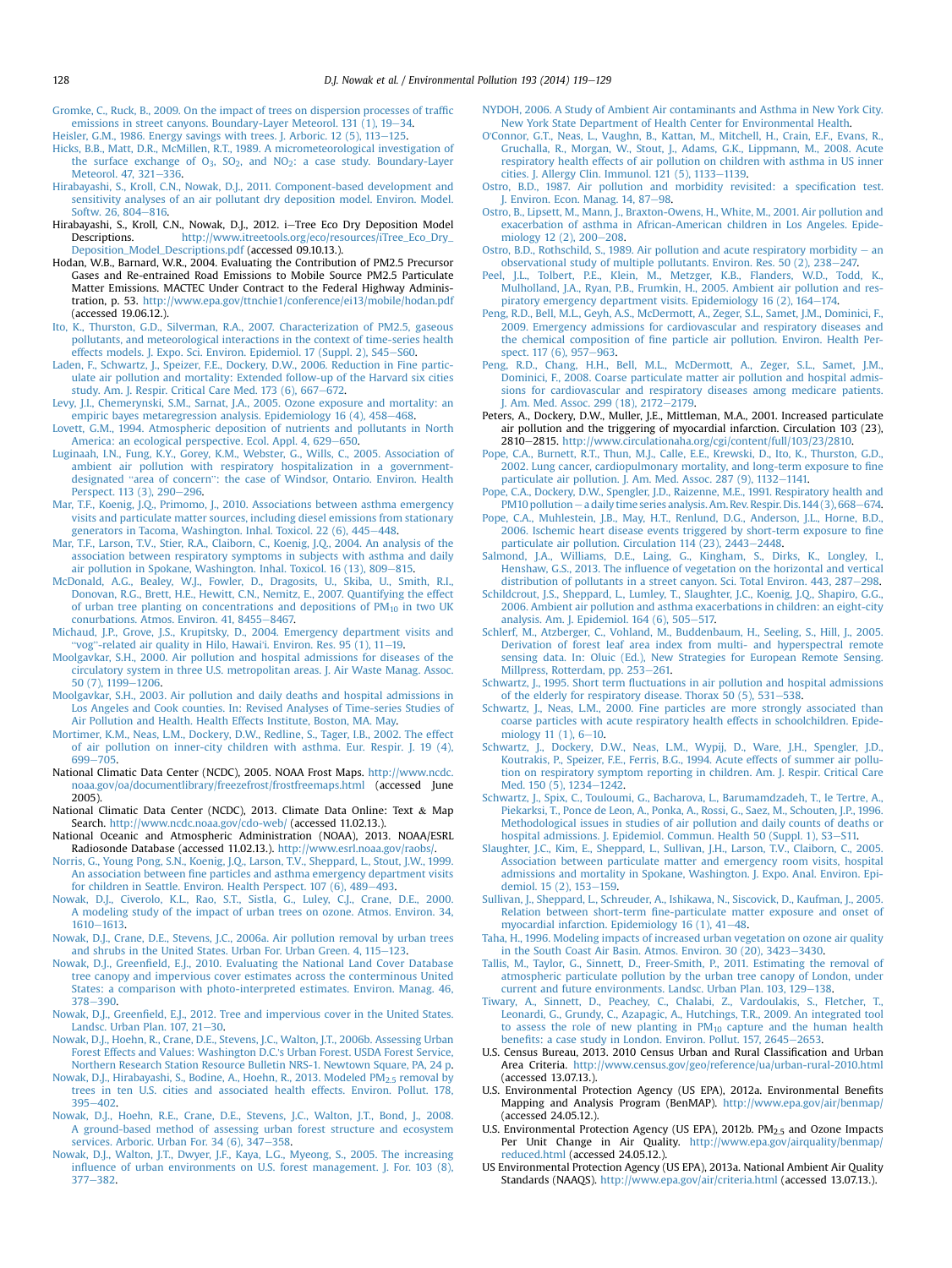<span id="page-9-0"></span>[Gromke, C., Ruck, B., 2009. On the impact of trees on dispersion processes of traf](http://refhub.elsevier.com/S0269-7491(14)00239-5/sref18)fic emissions in street canyons. Boundary-Layer Meteorol. 131  $(1)$ , 19-[34.](http://refhub.elsevier.com/S0269-7491(14)00239-5/sref18)

- Heisler, G.M., 1986. Energy savings with trees. I. Arboric. 12 (5), 113-[125](http://refhub.elsevier.com/S0269-7491(14)00239-5/sref19). [Hicks, B.B., Matt, D.R., McMillen, R.T., 1989. A micrometeorological investigation of](http://refhub.elsevier.com/S0269-7491(14)00239-5/sref20)
- the surface exchange of O<sub>3</sub>, SO<sub>2</sub>, and NO<sub>2</sub>: a case study. Boundary-Layer [Meteorol. 47, 321](http://refhub.elsevier.com/S0269-7491(14)00239-5/sref20)-[336](http://refhub.elsevier.com/S0269-7491(14)00239-5/sref20).
- [Hirabayashi, S., Kroll, C.N., Nowak, D.J., 2011. Component-based development and](http://refhub.elsevier.com/S0269-7491(14)00239-5/sref21) [sensitivity analyses of an air pollutant dry deposition model. Environ. Model.](http://refhub.elsevier.com/S0269-7491(14)00239-5/sref21) Softw.  $26, 804 - 816$  $26, 804 - 816$ .
- Hirabayashi, S., Kroll, C.N., Nowak, D.J., 2012. i-Tree Eco Dry Deposition Model Descriptions. [http://www.itreetools.org/eco/resources/iTree\\_Eco\\_Dry\\_](http://www.itreetools.org/eco/resources/iTree_Eco_Dry_Deposition_Model_Descriptions.pdf) [Deposition\\_Model\\_Descriptions.pdf](http://www.itreetools.org/eco/resources/iTree_Eco_Dry_Deposition_Model_Descriptions.pdf) (accessed 09.10.13.).
- Hodan, W.B., Barnard, W.R., 2004. Evaluating the Contribution of PM2.5 Precursor Gases and Re-entrained Road Emissions to Mobile Source PM2.5 Particulate Matter Emissions. MACTEC Under Contract to the Federal Highway Administration, p. 53. <http://www.epa.gov/ttnchie1/conference/ei13/mobile/hodan.pdf> (accessed 19.06.12.).
- [Ito, K., Thurston, G.D., Silverman, R.A., 2007. Characterization of PM2.5, gaseous](http://refhub.elsevier.com/S0269-7491(14)00239-5/sref24) [pollutants, and meteorological interactions in the context of time-series health](http://refhub.elsevier.com/S0269-7491(14)00239-5/sref24) [effects models. J. Expo. Sci. Environ. Epidemiol. 17 \(Suppl. 2\), S45](http://refhub.elsevier.com/S0269-7491(14)00239-5/sref24)–[S60.](http://refhub.elsevier.com/S0269-7491(14)00239-5/sref24)
- [Laden, F., Schwartz, J., Speizer, F.E., Dockery, D.W., 2006. Reduction in Fine partic](http://refhub.elsevier.com/S0269-7491(14)00239-5/sref25)[ulate air pollution and mortality: Extended follow-up of the Harvard six cities](http://refhub.elsevier.com/S0269-7491(14)00239-5/sref25) [study. Am. J. Respir. Critical Care Med. 173 \(6\), 667](http://refhub.elsevier.com/S0269-7491(14)00239-5/sref25)-[672](http://refhub.elsevier.com/S0269-7491(14)00239-5/sref25).
- [Levy, J.I., Chemerynski, S.M., Sarnat, J.A., 2005. Ozone exposure and mortality: an](http://refhub.elsevier.com/S0269-7491(14)00239-5/sref26) [empiric bayes metaregression analysis. Epidemiology 16 \(4\), 458](http://refhub.elsevier.com/S0269-7491(14)00239-5/sref26)-[468.](http://refhub.elsevier.com/S0269-7491(14)00239-5/sref26)
- [Lovett, G.M., 1994. Atmospheric deposition of nutrients and pollutants in North](http://refhub.elsevier.com/S0269-7491(14)00239-5/sref27) [America: an ecological perspective. Ecol. Appl. 4, 629](http://refhub.elsevier.com/S0269-7491(14)00239-5/sref27)-[650.](http://refhub.elsevier.com/S0269-7491(14)00239-5/sref27)
- [Luginaah, I.N., Fung, K.Y., Gorey, K.M., Webster, G., Wills, C., 2005. Association of](http://refhub.elsevier.com/S0269-7491(14)00239-5/sref28) inaan, i.i.v., rung, K.r., Gorey, K.w., webster, G., wins, C., 2005. Association in<br>ambient air pollution with respiratory hospitalization in a government-<br>designated "area of concern": the case of Windsor, Ontario. Enviro [Perspect. 113 \(3\), 290](http://refhub.elsevier.com/S0269-7491(14)00239-5/sref28)-[296](http://refhub.elsevier.com/S0269-7491(14)00239-5/sref28).
- [Mar, T.F., Koenig, J.Q., Primomo, J., 2010. Associations between asthma emergency](http://refhub.elsevier.com/S0269-7491(14)00239-5/sref29) [visits and particulate matter sources, including diesel emissions from stationary](http://refhub.elsevier.com/S0269-7491(14)00239-5/sref29) generators in Tacoma, Washington, Inhal, Toxicol, 22 (6), 445–[448](http://refhub.elsevier.com/S0269-7491(14)00239-5/sref29).
- [Mar, T.F., Larson, T.V., Stier, R.A., Claiborn, C., Koenig, J.Q., 2004. An analysis of the](http://refhub.elsevier.com/S0269-7491(14)00239-5/sref30) [association between respiratory symptoms in subjects with asthma and daily](http://refhub.elsevier.com/S0269-7491(14)00239-5/sref30) [air pollution in Spokane, Washington. Inhal. Toxicol. 16 \(13\), 809](http://refhub.elsevier.com/S0269-7491(14)00239-5/sref30)-[815](http://refhub.elsevier.com/S0269-7491(14)00239-5/sref30).
- [McDonald, A.G., Bealey, W.J., Fowler, D., Dragosits, U., Skiba, U., Smith, R.I.,](http://refhub.elsevier.com/S0269-7491(14)00239-5/sref31) [Donovan, R.G., Brett, H.E., Hewitt, C.N., Nemitz, E., 2007. Quantifying the effect](http://refhub.elsevier.com/S0269-7491(14)00239-5/sref31) of urban tree planting on concentrations and depositions of  $PM_{10}$  [in two UK](http://refhub.elsevier.com/S0269-7491(14)00239-5/sref31) conurbations. Atmos. Environ.  $41, 8455-8467.$  $41, 8455-8467.$
- [Michaud, J.P., Grove, J.S., Krupitsky, D., 2004. Emergency department visits and](http://refhub.elsevier.com/S0269-7491(14)00239-5/sref32) "vog"[-related air quality in Hilo, Hawai](http://refhub.elsevier.com/S0269-7491(14)00239-5/sref32)'i. Environ. Res. 95 (1), 11-[19](http://refhub.elsevier.com/S0269-7491(14)00239-5/sref32).
- [Moolgavkar, S.H., 2000. Air pollution and hospital admissions for diseases of the](http://refhub.elsevier.com/S0269-7491(14)00239-5/sref33) [circulatory system in three U.S. metropolitan areas. J. Air Waste Manag. Assoc.](http://refhub.elsevier.com/S0269-7491(14)00239-5/sref33) [50 \(7\), 1199](http://refhub.elsevier.com/S0269-7491(14)00239-5/sref33)-[1206](http://refhub.elsevier.com/S0269-7491(14)00239-5/sref33)
- [Moolgavkar, S.H., 2003. Air pollution and daily deaths and hospital admissions in](http://refhub.elsevier.com/S0269-7491(14)00239-5/sref34) [Los Angeles and Cook counties. In: Revised Analyses of Time-series Studies of](http://refhub.elsevier.com/S0269-7491(14)00239-5/sref34) [Air Pollution and Health. Health Effects Institute, Boston, MA. May.](http://refhub.elsevier.com/S0269-7491(14)00239-5/sref34)
- [Mortimer, K.M., Neas, L.M., Dockery, D.W., Redline, S., Tager, I.B., 2002. The effect](http://refhub.elsevier.com/S0269-7491(14)00239-5/sref35) [of air pollution on inner-city children with asthma. Eur. Respir. J. 19 \(4\),](http://refhub.elsevier.com/S0269-7491(14)00239-5/sref35) [699](http://refhub.elsevier.com/S0269-7491(14)00239-5/sref35)-[705.](http://refhub.elsevier.com/S0269-7491(14)00239-5/sref35)
- National Climatic Data Center (NCDC), 2005. NOAA Frost Maps. [http://www.ncdc.](http://www.ncdc.noaa.gov/oa/documentlibrary/freezefrost/frostfreemaps.html) [noaa.gov/oa/documentlibrary/freezefrost/frostfreemaps.html](http://www.ncdc.noaa.gov/oa/documentlibrary/freezefrost/frostfreemaps.html) (accessed June 2005).
- National Climatic Data Center (NCDC), 2013. Climate Data Online: Text & Map Search. <http://www.ncdc.noaa.gov/cdo-web/> (accessed 11.02.13.)
- National Oceanic and Atmospheric Administration (NOAA), 2013. NOAA/ESRL Radiosonde Database (accessed 11.02.13.). [http://www.esrl.noaa.gov/raobs/.](http://www.esrl.noaa.gov/raobs/)
- [Norris, G., Young Pong, S.N., Koenig, J.Q., Larson, T.V., Sheppard, L., Stout, J.W., 1999.](http://refhub.elsevier.com/S0269-7491(14)00239-5/sref39) An association between fi[ne particles and asthma emergency department visits](http://refhub.elsevier.com/S0269-7491(14)00239-5/sref39) [for children in Seattle. Environ. Health Perspect. 107 \(6\), 489](http://refhub.elsevier.com/S0269-7491(14)00239-5/sref39)-[493.](http://refhub.elsevier.com/S0269-7491(14)00239-5/sref39)
- [Nowak, D.J., Civerolo, K.L., Rao, S.T., Sistla, G., Luley, C.J., Crane, D.E., 2000.](http://refhub.elsevier.com/S0269-7491(14)00239-5/sref40) [A modeling study of the impact of urban trees on ozone. Atmos. Environ. 34,](http://refhub.elsevier.com/S0269-7491(14)00239-5/sref40) [1610](http://refhub.elsevier.com/S0269-7491(14)00239-5/sref40)-[1613.](http://refhub.elsevier.com/S0269-7491(14)00239-5/sref40)
- [Nowak, D.J., Crane, D.E., Stevens, J.C., 2006a. Air pollution removal by urban trees](http://refhub.elsevier.com/S0269-7491(14)00239-5/sref41) [and shrubs in the United States. Urban For. Urban Green. 4, 115](http://refhub.elsevier.com/S0269-7491(14)00239-5/sref41)-[123](http://refhub.elsevier.com/S0269-7491(14)00239-5/sref41).
- Nowak, D.J., Greenfi[eld, E.J., 2010. Evaluating the National Land Cover Database](http://refhub.elsevier.com/S0269-7491(14)00239-5/sref42) [tree canopy and impervious cover estimates across the conterminous United](http://refhub.elsevier.com/S0269-7491(14)00239-5/sref42) [States: a comparison with photo-interpreted estimates. Environ. Manag. 46,](http://refhub.elsevier.com/S0269-7491(14)00239-5/sref42) [378](http://refhub.elsevier.com/S0269-7491(14)00239-5/sref42)-[390.](http://refhub.elsevier.com/S0269-7491(14)00239-5/sref42)
- Nowak, D.J., Greenfi[eld, E.J., 2012. Tree and impervious cover in the United States.](http://refhub.elsevier.com/S0269-7491(14)00239-5/sref43) Landsc. Urban Plan.  $107, 21-30$ .
- [Nowak, D.J., Hoehn, R., Crane, D.E., Stevens, J.C., Walton, J.T., 2006b. Assessing Urban](http://refhub.elsevier.com/S0269-7491(14)00239-5/sref0) [Forest Effects and Values: Washington D.C.](http://refhub.elsevier.com/S0269-7491(14)00239-5/sref0)'s Urban Forest. USDA Forest Service, [Northern Research Station Resource Bulletin NRS-1. Newtown Square, PA, 24 p](http://refhub.elsevier.com/S0269-7491(14)00239-5/sref0).
- Nowak, D.J., Hirabayashi, S., Bodine, A., Hoehn, R., 2013. Modeled PM<sub>2.5</sub> [removal by](http://refhub.elsevier.com/S0269-7491(14)00239-5/sref44) [trees in ten U.S. cities and associated health effects. Environ. Pollut. 178,](http://refhub.elsevier.com/S0269-7491(14)00239-5/sref44)  $395 - 402$  $395 - 402$
- [Nowak, D.J., Hoehn, R.E., Crane, D.E., Stevens, J.C., Walton, J.T., Bond, J., 2008.](http://refhub.elsevier.com/S0269-7491(14)00239-5/sref45) [A ground-based method of assessing urban forest structure and ecosystem](http://refhub.elsevier.com/S0269-7491(14)00239-5/sref45) services. Arboric. Urban For. 34  $(6)$ , 347 $-358$ .
- [Nowak, D.J., Walton, J.T., Dwyer, J.F., Kaya, L.G., Myeong, S., 2005. The increasing](http://refhub.elsevier.com/S0269-7491(14)00239-5/sref46) infl[uence of urban environments on U.S. forest management. J. For. 103 \(8\),](http://refhub.elsevier.com/S0269-7491(14)00239-5/sref46) [377](http://refhub.elsevier.com/S0269-7491(14)00239-5/sref46)-[382](http://refhub.elsevier.com/S0269-7491(14)00239-5/sref46).
- [NYDOH, 2006. A Study of Ambient Air contaminants and Asthma in New York City.](http://refhub.elsevier.com/S0269-7491(14)00239-5/sref47) [New York State Department of Health Center for Environmental Health.](http://refhub.elsevier.com/S0269-7491(14)00239-5/sref47)
- O'[Connor, G.T., Neas, L., Vaughn, B., Kattan, M., Mitchell, H., Crain, E.F., Evans, R.,](http://refhub.elsevier.com/S0269-7491(14)00239-5/sref48) [Gruchalla, R., Morgan, W., Stout, J., Adams, G.K., Lippmann, M., 2008. Acute](http://refhub.elsevier.com/S0269-7491(14)00239-5/sref48) [respiratory health effects of air pollution on children with asthma in US inner](http://refhub.elsevier.com/S0269-7491(14)00239-5/sref48) cities. J. Allergy Clin. Immunol.  $121$  (5),  $1133-1139$ .
- [Ostro, B.D., 1987. Air pollution and morbidity revisited: a speci](http://refhub.elsevier.com/S0269-7491(14)00239-5/sref49)fication test. J. Environ. Econ. Manag.  $14, 87-98$ .
- [Ostro, B., Lipsett, M., Mann, J., Braxton-Owens, H., White, M., 2001. Air pollution and](http://refhub.elsevier.com/S0269-7491(14)00239-5/sref50) [exacerbation of asthma in African-American children in Los Angeles. Epide](http://refhub.elsevier.com/S0269-7491(14)00239-5/sref50)[miology 12 \(2\), 200](http://refhub.elsevier.com/S0269-7491(14)00239-5/sref50)-[208](http://refhub.elsevier.com/S0269-7491(14)00239-5/sref50).
- [Ostro, B.D., Rothschild, S., 1989. Air pollution and acute respiratory morbidity](http://refhub.elsevier.com/S0269-7491(14)00239-5/sref51)  $-$  [an](http://refhub.elsevier.com/S0269-7491(14)00239-5/sref51) [observational study of multiple pollutants. Environ. Res. 50 \(2\), 238](http://refhub.elsevier.com/S0269-7491(14)00239-5/sref51)–[247.](http://refhub.elsevier.com/S0269-7491(14)00239-5/sref51)<br>Peel, J.L., Tolbert, P.E., Klein, M., Metzger, K.B., Flanders, W.D., Todd, K.,
- [Mulholland, J.A., Ryan, P.B., Frumkin, H., 2005. Ambient air pollution and res](http://refhub.elsevier.com/S0269-7491(14)00239-5/sref52)piratory emergency department visits. Epidemiology 16  $(2)$ , 164-[174.](http://refhub.elsevier.com/S0269-7491(14)00239-5/sref52)
- [Peng, R.D., Bell, M.L., Geyh, A.S., McDermott, A., Zeger, S.L., Samet, J.M., Dominici, F.,](http://refhub.elsevier.com/S0269-7491(14)00239-5/sref53) [2009. Emergency admissions for cardiovascular and respiratory diseases and](http://refhub.elsevier.com/S0269-7491(14)00239-5/sref53) the chemical composition of fine particle air pollution. Environ. Health Per[spect. 117 \(6\), 957](http://refhub.elsevier.com/S0269-7491(14)00239-5/sref53)–[963.](http://refhub.elsevier.com/S0269-7491(14)00239-5/sref53)
- [Peng, R.D., Chang, H.H., Bell, M.L., McDermott, A., Zeger, S.L., Samet, J.M.,](http://refhub.elsevier.com/S0269-7491(14)00239-5/sref54) [Dominici, F., 2008. Coarse particulate matter air pollution and hospital admis](http://refhub.elsevier.com/S0269-7491(14)00239-5/sref54)[sions for cardiovascular and respiratory diseases among medicare patients.](http://refhub.elsevier.com/S0269-7491(14)00239-5/sref54) [J. Am. Med. Assoc. 299 \(18\), 2172](http://refhub.elsevier.com/S0269-7491(14)00239-5/sref54)-[2179](http://refhub.elsevier.com/S0269-7491(14)00239-5/sref54).
- Peters, A., Dockery, D.W., Muller, J.E., Mittleman, M.A., 2001. Increased particulate air pollution and the triggering of myocardial infarction. Circulation 103 (23), 2810-2815. [http://www.circulationaha.org/cgi/content/full/103/23/2810.](http://www.circulationaha.org/cgi/content/full/103/23/2810)
- [Pope, C.A., Burnett, R.T., Thun, M.J., Calle, E.E., Krewski, D., Ito, K., Thurston, G.D.,](http://refhub.elsevier.com/S0269-7491(14)00239-5/sref56) [2002. Lung cancer, cardiopulmonary mortality, and long-term exposure to](http://refhub.elsevier.com/S0269-7491(14)00239-5/sref56) fine [particulate air pollution. J. Am. Med. Assoc. 287 \(9\), 1132](http://refhub.elsevier.com/S0269-7491(14)00239-5/sref56)-[1141.](http://refhub.elsevier.com/S0269-7491(14)00239-5/sref56)
- [Pope, C.A., Dockery, D.W., Spengler, J.D., Raizenne, M.E., 1991. Respiratory health and](http://refhub.elsevier.com/S0269-7491(14)00239-5/sref57) [PM10 pollution](http://refhub.elsevier.com/S0269-7491(14)00239-5/sref57)  $-$  a daily time series analysis. Am. Rev. Respir. Dis. 144 (3), 668-[674](http://refhub.elsevier.com/S0269-7491(14)00239-5/sref57).
- [Pope, C.A., Muhlestein, J.B., May, H.T., Renlund, D.G., Anderson, J.L., Horne, B.D.,](http://refhub.elsevier.com/S0269-7491(14)00239-5/sref58) [2006. Ischemic heart disease events triggered by short-term exposure to](http://refhub.elsevier.com/S0269-7491(14)00239-5/sref58) fine [particulate air pollution. Circulation 114 \(23\), 2443](http://refhub.elsevier.com/S0269-7491(14)00239-5/sref58)-[2448](http://refhub.elsevier.com/S0269-7491(14)00239-5/sref58).
- Salmond, J.A., Williams, D.E., Laing, G., Kingham, S., Dirks, K., Longley, I. Henshaw, G.S., 2013. The infl[uence of vegetation on the horizontal and vertical](http://refhub.elsevier.com/S0269-7491(14)00239-5/sref59) [distribution of pollutants in a street canyon. Sci. Total Environ. 443, 287](http://refhub.elsevier.com/S0269-7491(14)00239-5/sref59)-[298](http://refhub.elsevier.com/S0269-7491(14)00239-5/sref59).
- [Schildcrout, J.S., Sheppard, L., Lumley, T., Slaughter, J.C., Koenig, J.Q., Shapiro, G.G.,](http://refhub.elsevier.com/S0269-7491(14)00239-5/sref60) [2006. Ambient air pollution and asthma exacerbations in children: an eight-city](http://refhub.elsevier.com/S0269-7491(14)00239-5/sref60) [analysis. Am. J. Epidemiol. 164 \(6\), 505](http://refhub.elsevier.com/S0269-7491(14)00239-5/sref60)-[517.](http://refhub.elsevier.com/S0269-7491(14)00239-5/sref60)
- [Schlerf, M., Atzberger, C., Vohland, M., Buddenbaum, H., Seeling, S., Hill, J., 2005.](http://refhub.elsevier.com/S0269-7491(14)00239-5/sref61) [Derivation of forest leaf area index from multi- and hyperspectral remote](http://refhub.elsevier.com/S0269-7491(14)00239-5/sref61) [sensing data. In: Oluic \(Ed.\), New Strategies for European Remote Sensing.](http://refhub.elsevier.com/S0269-7491(14)00239-5/sref61) [Millpress, Rotterdam, pp. 253](http://refhub.elsevier.com/S0269-7491(14)00239-5/sref61)-[261.](http://refhub.elsevier.com/S0269-7491(14)00239-5/sref61)
- Schwartz, J., 1995. Short term fl[uctuations in air pollution and hospital admissions](http://refhub.elsevier.com/S0269-7491(14)00239-5/sref62) [of the elderly for respiratory disease. Thorax 50 \(5\), 531](http://refhub.elsevier.com/S0269-7491(14)00239-5/sref62)-[538](http://refhub.elsevier.com/S0269-7491(14)00239-5/sref62).
- [Schwartz, J., Neas, L.M., 2000. Fine particles are more strongly associated than](http://refhub.elsevier.com/S0269-7491(14)00239-5/sref63) [coarse particles with acute respiratory health effects in schoolchildren. Epide](http://refhub.elsevier.com/S0269-7491(14)00239-5/sref63)miology  $11(1)$ ,  $6-10$ .
- [Schwartz, J., Dockery, D.W., Neas, L.M., Wypij, D., Ware, J.H., Spengler, J.D.,](http://refhub.elsevier.com/S0269-7491(14)00239-5/sref64) [Koutrakis, P., Speizer, F.E., Ferris, B.G., 1994. Acute effects of summer air pollu](http://refhub.elsevier.com/S0269-7491(14)00239-5/sref64)[tion on respiratory symptom reporting in children. Am. J. Respir. Critical Care](http://refhub.elsevier.com/S0269-7491(14)00239-5/sref64) [Med. 150 \(5\), 1234](http://refhub.elsevier.com/S0269-7491(14)00239-5/sref64)-[1242.](http://refhub.elsevier.com/S0269-7491(14)00239-5/sref64)
- [Schwartz, J., Spix, C., Touloumi, G., Bacharova, L., Barumamdzadeh, T., le Tertre, A.,](http://refhub.elsevier.com/S0269-7491(14)00239-5/sref65) [Piekarksi, T., Ponce de Leon, A., Ponka, A., Rossi, G., Saez, M., Schouten, J.P., 1996.](http://refhub.elsevier.com/S0269-7491(14)00239-5/sref65) [Methodological issues in studies of air pollution and daily counts of deaths or](http://refhub.elsevier.com/S0269-7491(14)00239-5/sref65) [hospital admissions. J. Epidemiol. Commun. Health 50 \(Suppl. 1\), S3](http://refhub.elsevier.com/S0269-7491(14)00239-5/sref65)-[S11.](http://refhub.elsevier.com/S0269-7491(14)00239-5/sref65)
- [Slaughter, J.C., Kim, E., Sheppard, L., Sullivan, J.H., Larson, T.V., Claiborn, C., 2005.](http://refhub.elsevier.com/S0269-7491(14)00239-5/sref66) [Association between particulate matter and emergency room visits, hospital](http://refhub.elsevier.com/S0269-7491(14)00239-5/sref66) [admissions and mortality in Spokane, Washington. J. Expo. Anal. Environ. Epi](http://refhub.elsevier.com/S0269-7491(14)00239-5/sref66)[demiol. 15 \(2\), 153](http://refhub.elsevier.com/S0269-7491(14)00239-5/sref66)-[159.](http://refhub.elsevier.com/S0269-7491(14)00239-5/sref66)
- [Sullivan, J., Sheppard, L., Schreuder, A., Ishikawa, N., Siscovick, D., Kaufman, J., 2005.](http://refhub.elsevier.com/S0269-7491(14)00239-5/sref67) Relation between short-term fi[ne-particulate matter exposure and onset of](http://refhub.elsevier.com/S0269-7491(14)00239-5/sref67) myocardial infarction. Epidemiology 16  $(1)$ , 41-[48](http://refhub.elsevier.com/S0269-7491(14)00239-5/sref67).
- [Taha, H., 1996. Modeling impacts of increased urban vegetation on ozone air quality](http://refhub.elsevier.com/S0269-7491(14)00239-5/sref68) in the South Coast Air Basin. Atmos. Environ. 30  $(20)$ , 3423-[3430.](http://refhub.elsevier.com/S0269-7491(14)00239-5/sref68)
- [Tallis, M., Taylor, G., Sinnett, D., Freer-Smith, P., 2011. Estimating the removal of](http://refhub.elsevier.com/S0269-7491(14)00239-5/sref69) [atmospheric particulate pollution by the urban tree canopy of London, under](http://refhub.elsevier.com/S0269-7491(14)00239-5/sref69) [current and future environments. Landsc. Urban Plan. 103, 129](http://refhub.elsevier.com/S0269-7491(14)00239-5/sref69)-[138.](http://refhub.elsevier.com/S0269-7491(14)00239-5/sref69)
- [Tiwary, A., Sinnett, D., Peachey, C., Chalabi, Z., Vardoulakis, S., Fletcher, T.,](http://refhub.elsevier.com/S0269-7491(14)00239-5/sref70) [Leonardi, G., Grundy, C., Azapagic, A., Hutchings, T.R., 2009. An integrated tool](http://refhub.elsevier.com/S0269-7491(14)00239-5/sref70) to assess the role of new planting in  $PM_{10}$  [capture and the human health](http://refhub.elsevier.com/S0269-7491(14)00239-5/sref70) benefi[ts: a case study in London. Environ. Pollut. 157, 2645](http://refhub.elsevier.com/S0269-7491(14)00239-5/sref70)-[2653](http://refhub.elsevier.com/S0269-7491(14)00239-5/sref70).
- U.S. Census Bureau, 2013. 2010 Census Urban and Rural Classification and Urban Area Criteria. <http://www.census.gov/geo/reference/ua/urban-rural-2010.html> (accessed 13.07.13.).
- U.S. Environmental Protection Agency (US EPA), 2012a. Environmental Benefits Mapping and Analysis Program (BenMAP). <http://www.epa.gov/air/benmap/> (accessed 24.05.12.).
- U.S. Environmental Protection Agency (US EPA), 2012b. PM<sub>2.5</sub> and Ozone Impacts Per Unit Change in Air Quality. [http://www.epa.gov/airquality/benmap/](http://www.epa.gov/airquality/benmap/reduced.html) [reduced.html](http://www.epa.gov/airquality/benmap/reduced.html) (accessed 24.05.12.).
- US Environmental Protection Agency (US EPA), 2013a. National Ambient Air Quality Standards (NAAQS). <http://www.epa.gov/air/criteria.html> (accessed 13.07.13.).